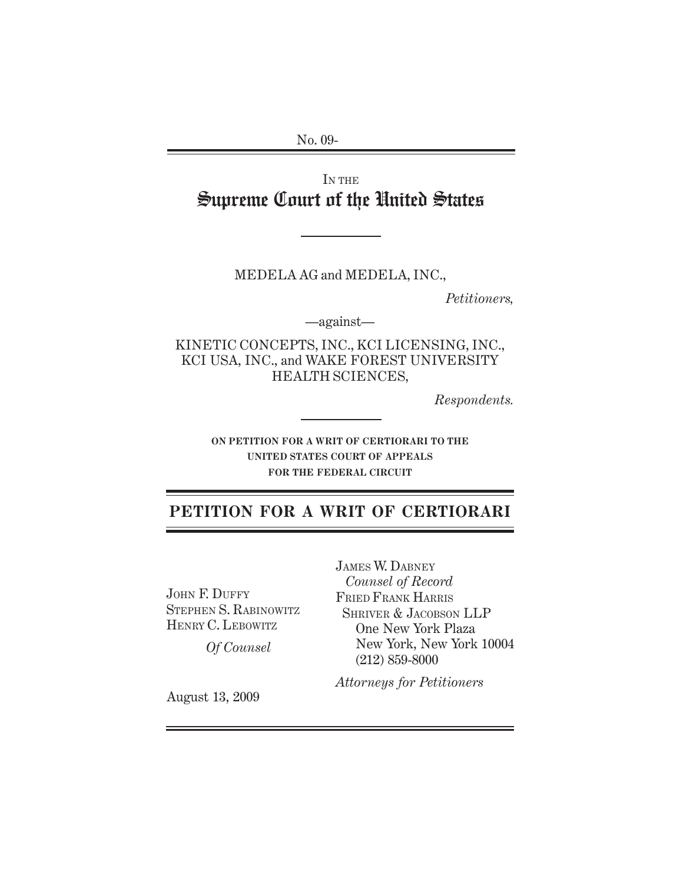No. 09-

# IN THE Supreme Court of the United States

MEDELA AG and MEDELA, INC.,

*Petitioners,*

—against—

KINETIC CONCEPTS, INC., KCI LICENSING, INC., KCI USA, INC., and WAKE FOREST UNIVERSITY HEALTH SCIENCES,

*Respondents.*

**ON PETITION FOR A WRIT OF CERTIORARI TO THE UNITED STATES COURT OF APPEALS FOR THE FEDERAL CIRCUIT**

# **PETITION FOR A WRIT OF CERTIORARI**

JOHN F. DUFFY STEPHEN S. RABINOWITZ HENRY C. LEBOWITZ

*Of Counsel*

JAMES W. DABNEY *Counsel of Record* FRIED FRANK HARRIS SHRIVER & JACOBSON LLP One New York Plaza New York, New York 10004 (212) 859-8000

*Attorneys for Petitioners*

August 13, 2009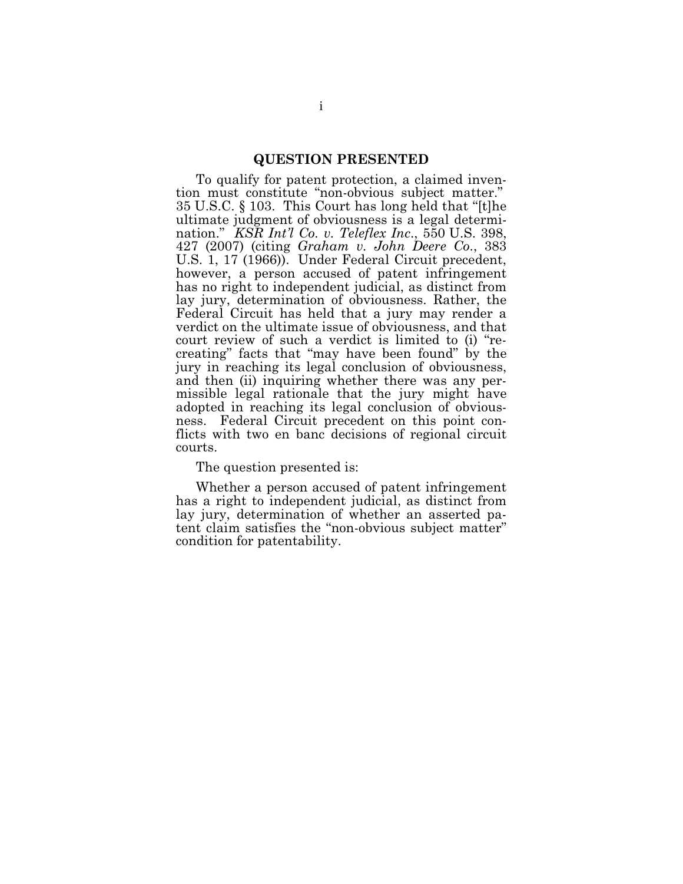### **QUESTION PRESENTED**

To qualify for patent protection, a claimed invention must constitute "non-obvious subject matter."  $35$  U.S.C. § 103. This Court has long held that "[t]he ultimate judgment of obviousness is a legal determination." *KSR Int'l Co. v. Teleflex Inc*., 550 U .S . 398, 427 (2007) (citing *G raham v. John Deere Co*., 383 U.S. 1, 17 (1966)). Under Federal Circuit precedent, however, a person accused of patent infringement has no right to independent judicial, as distinct from lay jury, determination of obviousness. Rather, the Federal Circuit has held that a jury may render a verdict on the ultimate issue of obviousness, and that court review of such a verdict is limited to (i) "recreating" facts that "may have been found" by the jury in reaching its legal conclusion of obviousness, and then (ii) inquiring whether there was any permissible legal rationale that the jury might have adopted in reaching its legal conclusion of obviousness. Federal Circuit precedent on this point conflicts with two en banc decisions of regional circuit courts.

The question presented is:

Whether a person accused of patent infringement has a right to independent judicial, as distinct from lay jury, determination of whether an asserted patent claim satisfies the "non-obvious subject matter" condition for patentability.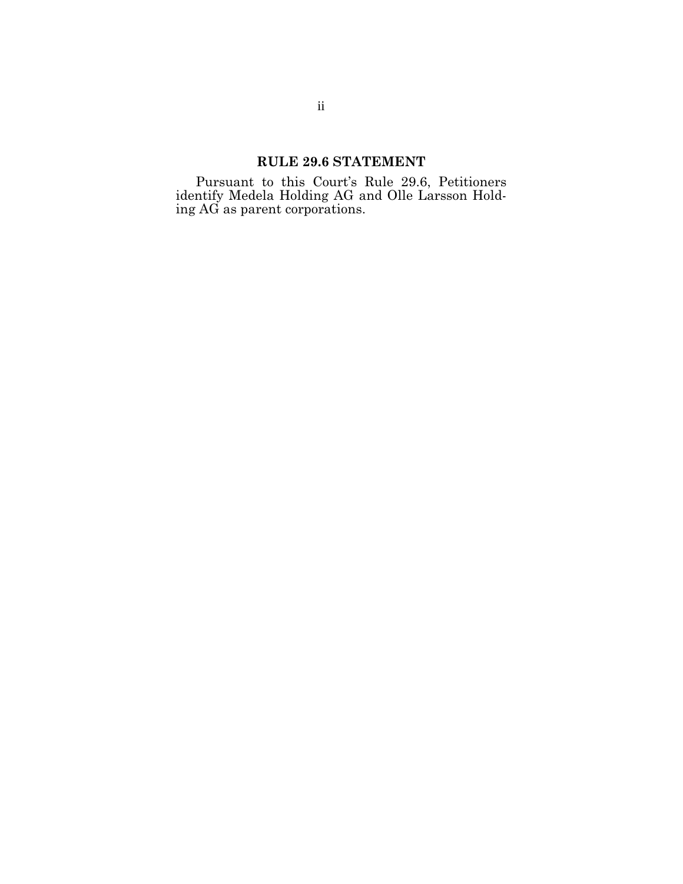## **RULE 29.6 STATEMENT**

Pursuant to this Court's Rule 29.6, Petitioners identify Medela Holding AG and Olle Larsson Holding AG as parent corporations.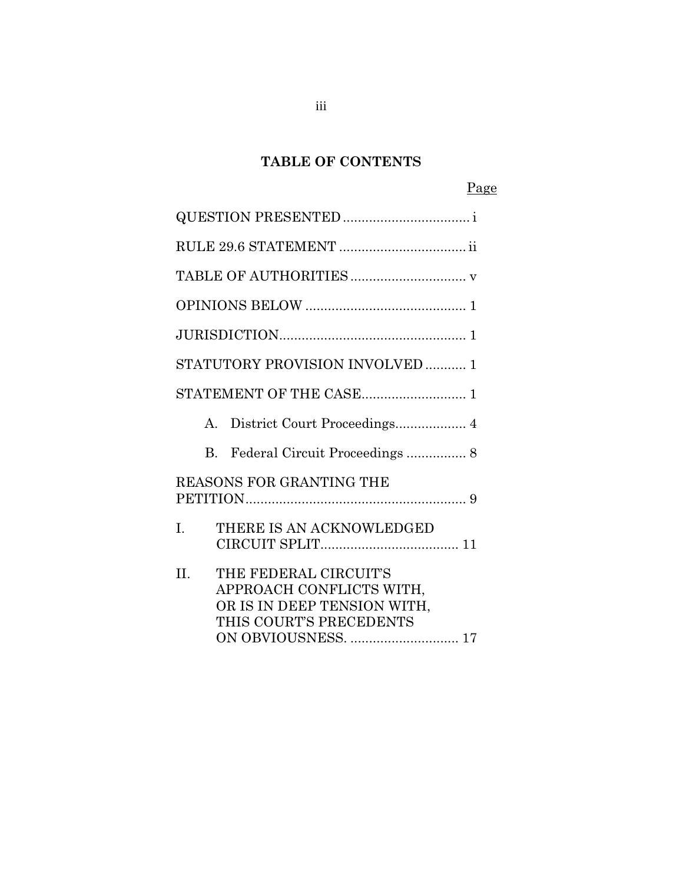# **TABLE OF CONTENTS**

# Page

|             | STATUTORY PROVISION INVOLVED  1                                                                                                    |  |  |  |
|-------------|------------------------------------------------------------------------------------------------------------------------------------|--|--|--|
|             |                                                                                                                                    |  |  |  |
| $A_{\cdot}$ | District Court Proceedings 4                                                                                                       |  |  |  |
| B.          | Federal Circuit Proceedings  8                                                                                                     |  |  |  |
|             | REASONS FOR GRANTING THE                                                                                                           |  |  |  |
| I.          | THERE IS AN ACKNOWLEDGED                                                                                                           |  |  |  |
| II.         | THE FEDERAL CIRCUIT'S<br>APPROACH CONFLICTS WITH,<br>OR IS IN DEEP TENSION WITH,<br>THIS COURT'S PRECEDENTS<br>ON OBVIOUSNESS.  17 |  |  |  |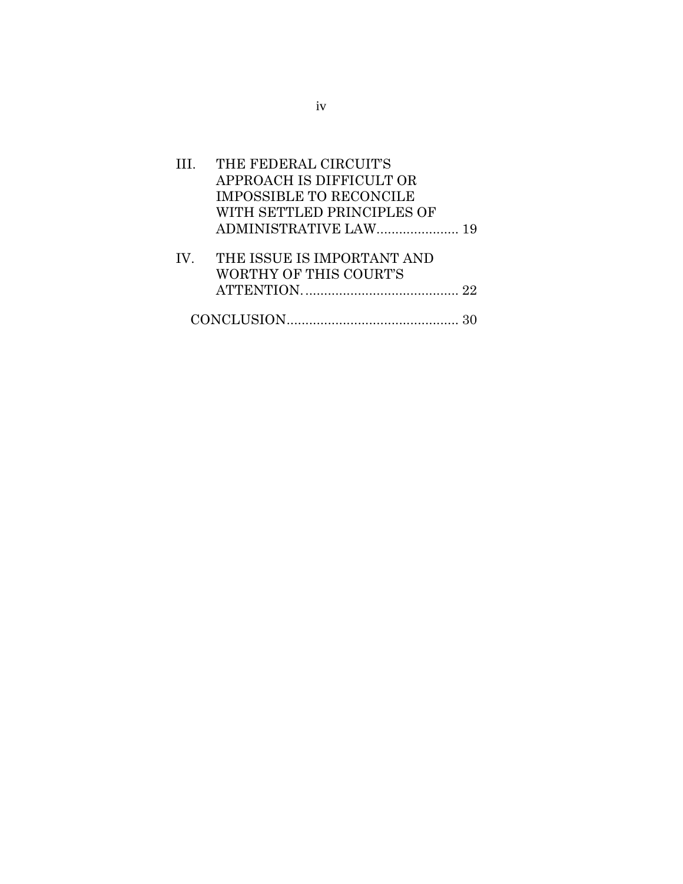| III. THE FEDERAL CIRCUIT'S     |  |
|--------------------------------|--|
| APPROACH IS DIFFICULT OR       |  |
| IMPOSSIBLE TO RECONCILE        |  |
| WITH SETTLED PRINCIPLES OF     |  |
|                                |  |
| IV. THE ISSUE IS IMPORTANT AND |  |
| WORTHY OF THIS COURT'S         |  |
|                                |  |
|                                |  |
|                                |  |

iv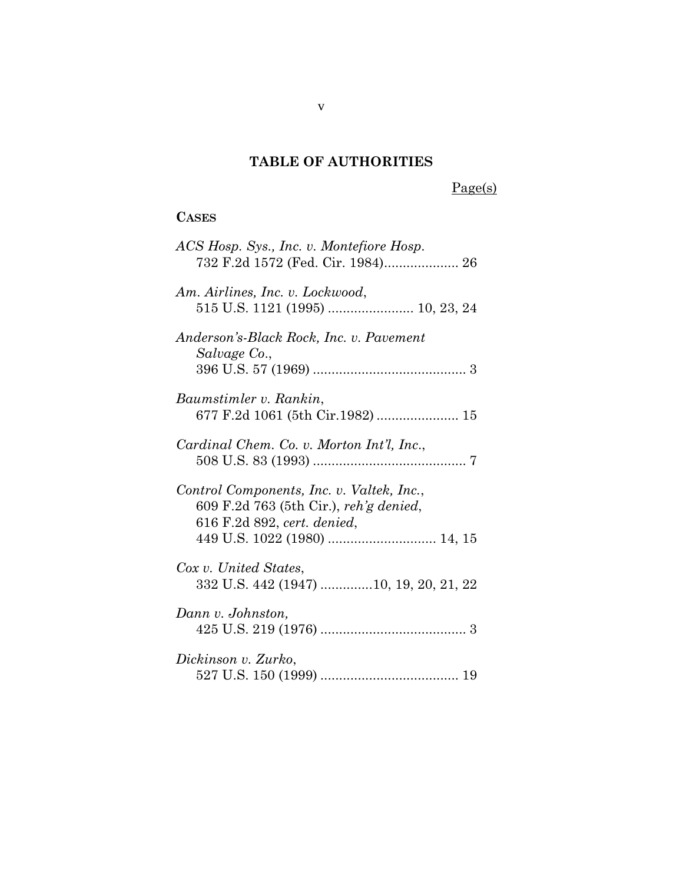# **TAB L E OF AUTH ORITIES**

# Page(s)

## **CASES**

| ACS Hosp. Sys., Inc. v. Montefiore Hosp.<br>732 F.2d 1572 (Fed. Cir. 1984) 26                                      |
|--------------------------------------------------------------------------------------------------------------------|
| Am. Airlines, Inc. v. Lockwood,<br>515 U.S. 1121 (1995)  10, 23, 24                                                |
| Anderson's-Black Rock, Inc. v. Pavement<br>Salvage Co.,                                                            |
| Baumstimler v. Rankin,<br>677 F.2d 1061 (5th Cir.1982)  15                                                         |
| Cardinal Chem. Co. v. Morton Int'l, Inc.,                                                                          |
| Control Components, Inc. v. Valtek, Inc.,<br>609 F.2d 763 (5th Cir.), reh'g denied,<br>616 F.2d 892, cert. denied, |
| Cox v. United States,<br>332 U.S. 442 (1947) 10, 19, 20, 21, 22                                                    |
| Dann v. Johnston,                                                                                                  |
| Dickinson v. Zurko,                                                                                                |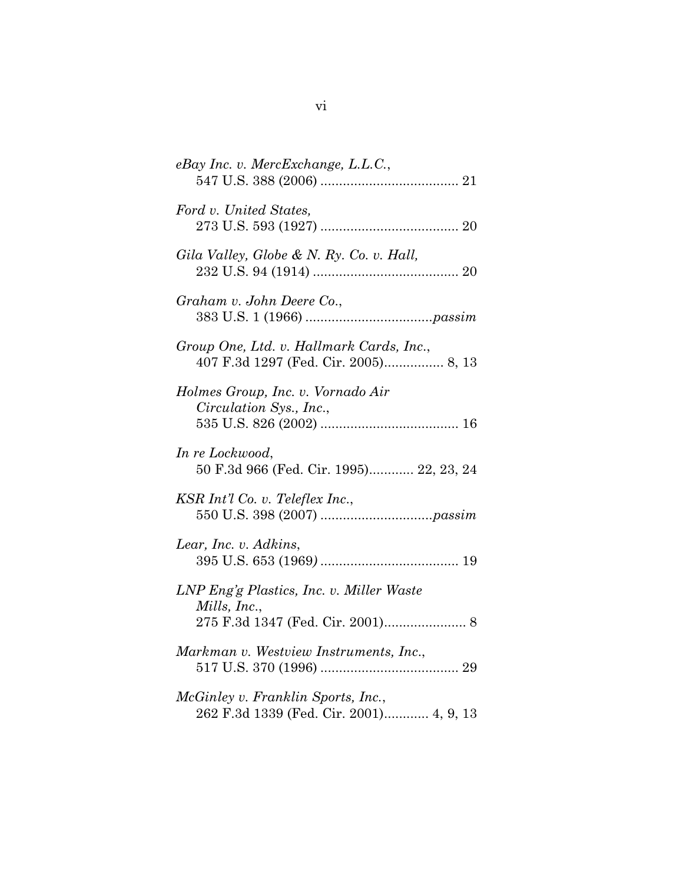| eBay Inc. v. MercExchange, L.L.C.,                                               |
|----------------------------------------------------------------------------------|
| Ford v. United States,                                                           |
| Gila Valley, Globe & N. Ry. Co. v. Hall,                                         |
| Graham v. John Deere Co.,                                                        |
| Group One, Ltd. v. Hallmark Cards, Inc.,<br>407 F.3d 1297 (Fed. Cir. 2005) 8, 13 |
| Holmes Group, Inc. v. Vornado Air<br>Circulation Sys., Inc.,                     |
| In re Lockwood,<br>50 F.3d 966 (Fed. Cir. 1995) 22, 23, 24                       |
| KSR Int'l Co. v. Teleflex Inc.,                                                  |
| Lear, Inc. v. Adkins,                                                            |
| LNP Eng'g Plastics, Inc. v. Miller Waste<br>Mills, Inc.,                         |
| Markman v. Westview Instruments, Inc.,                                           |
| McGinley v. Franklin Sports, Inc.,<br>262 F.3d 1339 (Fed. Cir. 2001) 4, 9, 13    |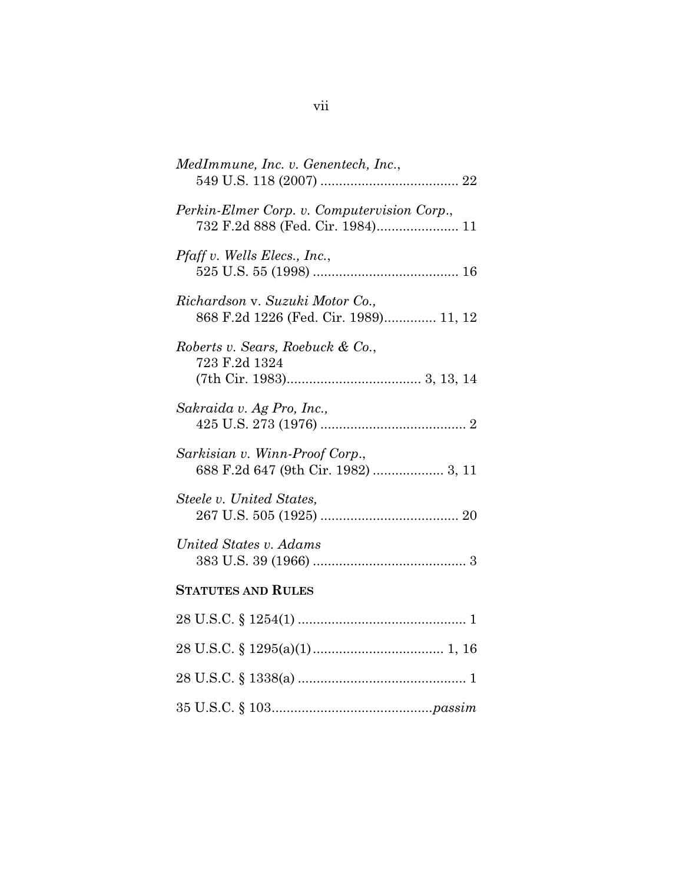| MedImmune, Inc. v. Genentech, Inc.,                                             |
|---------------------------------------------------------------------------------|
| Perkin-Elmer Corp. v. Computervision Corp.,<br>732 F.2d 888 (Fed. Cir. 1984) 11 |
| <i>Pfaff v. Wells Elecs., Inc.,</i>                                             |
| Richardson v. Suzuki Motor Co.,<br>868 F.2d 1226 (Fed. Cir. 1989) 11, 12        |
| Roberts v. Sears, Roebuck & Co.,<br>723 F.2d 1324                               |
| Sakraida v. Ag Pro, Inc.,                                                       |
| Sarkisian v. Winn-Proof Corp.,<br>688 F.2d 647 (9th Cir. 1982)  3, 11           |
| Steele v. United States,                                                        |
| United States v. Adams                                                          |
| <b>STATUTES AND RULES</b>                                                       |
|                                                                                 |
|                                                                                 |
|                                                                                 |
|                                                                                 |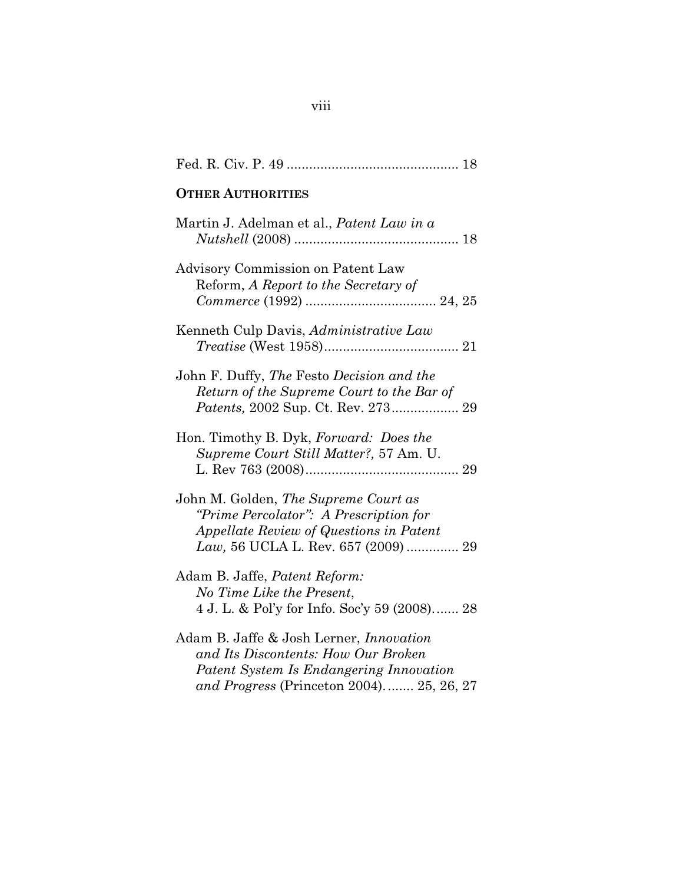| <b>OTHER AUTHORITIES</b>                                                                                                                                                     |
|------------------------------------------------------------------------------------------------------------------------------------------------------------------------------|
| Martin J. Adelman et al., <i>Patent Law in a</i>                                                                                                                             |
| Advisory Commission on Patent Law<br>Reform, A Report to the Secretary of                                                                                                    |
| Kenneth Culp Davis, Administrative Law                                                                                                                                       |
| John F. Duffy, The Festo Decision and the<br>Return of the Supreme Court to the Bar of                                                                                       |
| Hon. Timothy B. Dyk, Forward: Does the<br>Supreme Court Still Matter?, 57 Am. U.                                                                                             |
| John M. Golden, The Supreme Court as<br>"Prime Percolator": A Prescription for<br>Appellate Review of Questions in Patent<br>Law, 56 UCLA L. Rev. 657 (2009)  29             |
| Adam B. Jaffe, <i>Patent Reform:</i><br>No Time Like the Present,<br>4 J. L. & Pol'y for Info. Soc'y 59 (2008) 28                                                            |
| Adam B. Jaffe & Josh Lerner, <i>Innovation</i><br>and Its Discontents: How Our Broken<br>Patent System Is Endangering Innovation<br>and Progress (Princeton 2004) 25, 26, 27 |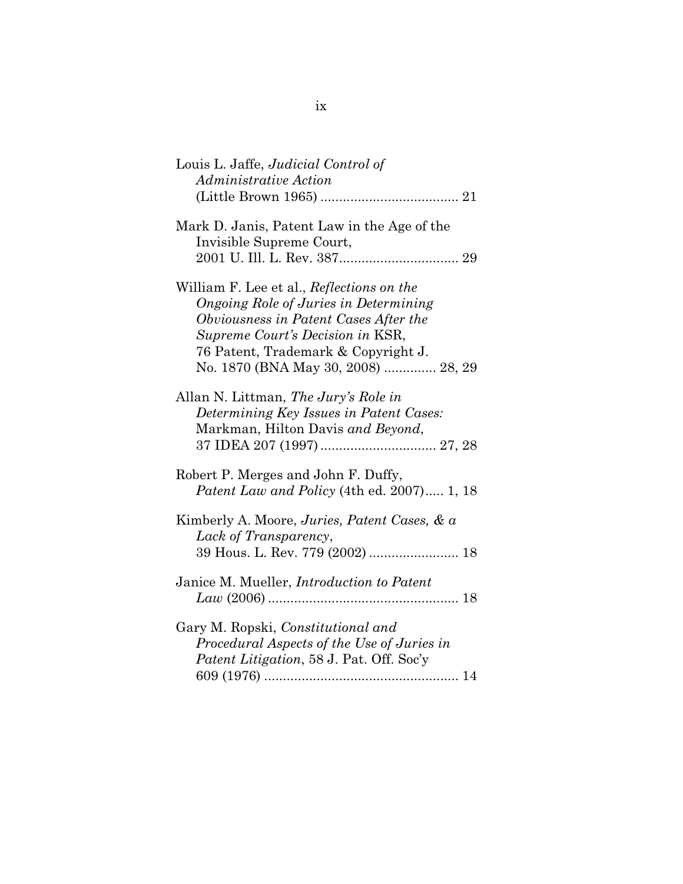| Louis L. Jaffe, <i>Judicial Control of</i><br>Administrative Action                                                                                                                                                                           |
|-----------------------------------------------------------------------------------------------------------------------------------------------------------------------------------------------------------------------------------------------|
|                                                                                                                                                                                                                                               |
| Mark D. Janis, Patent Law in the Age of the<br>Invisible Supreme Court,                                                                                                                                                                       |
| William F. Lee et al., Reflections on the<br>Ongoing Role of Juries in Determining<br>Obviousness in Patent Cases After the<br>Supreme Court's Decision in KSR,<br>76 Patent, Trademark & Copyright J.<br>No. 1870 (BNA May 30, 2008)  28, 29 |
| Allan N. Littman, The Jury's Role in<br>Determining Key Issues in Patent Cases:<br>Markman, Hilton Davis and Beyond,                                                                                                                          |
| Robert P. Merges and John F. Duffy,<br>Patent Law and Policy (4th ed. 2007) 1, 18                                                                                                                                                             |
| Kimberly A. Moore, Juries, Patent Cases, & a<br>Lack of Transparency,<br>39 Hous. L. Rev. 779 (2002)  18                                                                                                                                      |
| Janice M. Mueller, <i>Introduction to Patent</i>                                                                                                                                                                                              |
| Gary M. Ropski, Constitutional and<br>Procedural Aspects of the Use of Juries in<br>Patent Litigation, 58 J. Pat. Off. Soc'y                                                                                                                  |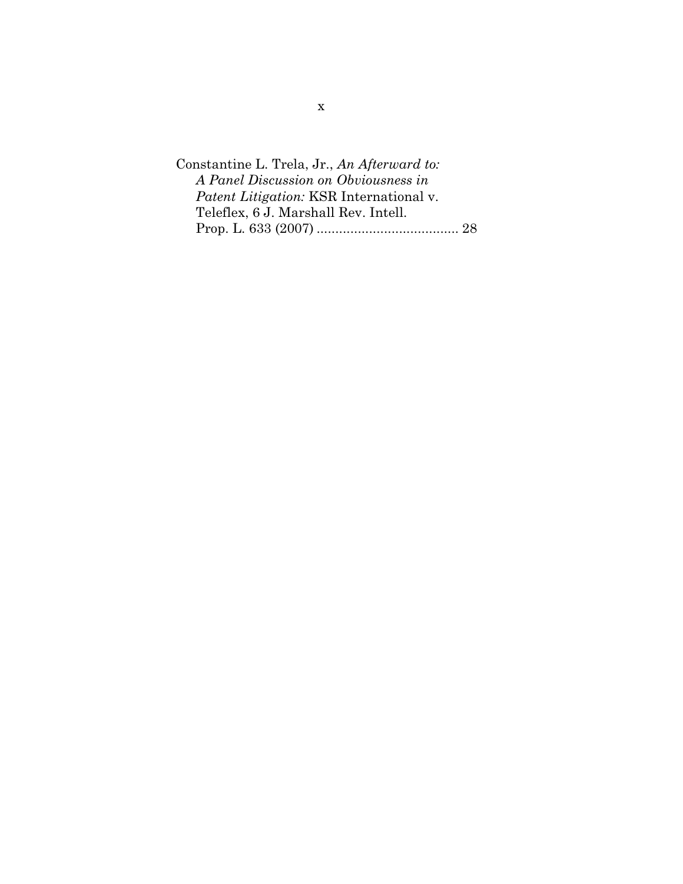| Constantine L. Trela, Jr., An Afterward to: |  |
|---------------------------------------------|--|
| A Panel Discussion on Obviousness in        |  |
| Patent Litigation: KSR International v.     |  |
| Teleflex, 6 J. Marshall Rev. Intell.        |  |
|                                             |  |
|                                             |  |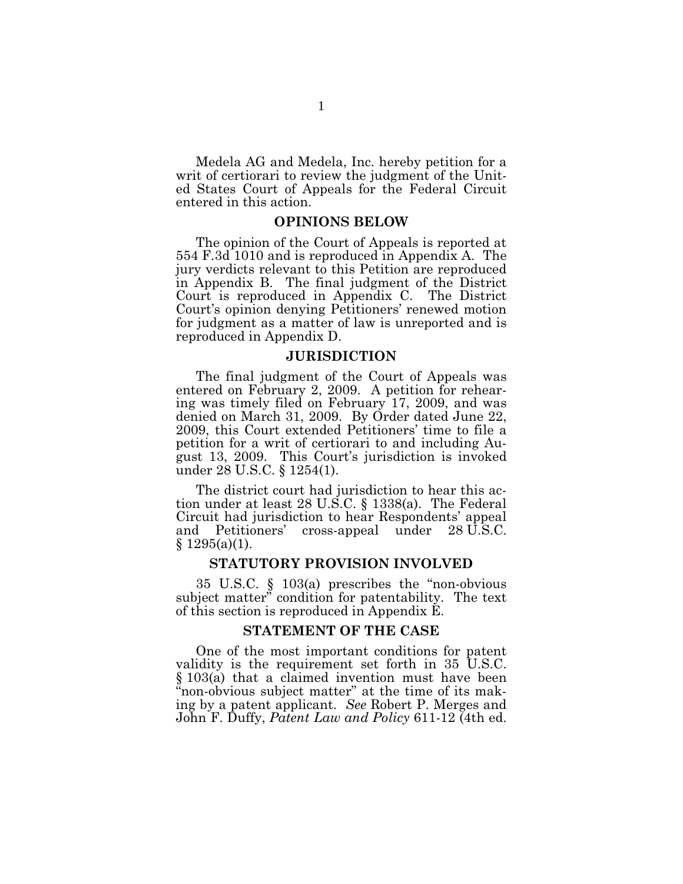Medela AG and Medela, Inc. hereby petition for a writ of certiorari to review the judgment of the United States Court of Appeals for the Federal Circuit entered in this action.

#### **OPINIONS B EL OW**

The opinion of the Court of Appeals is reported at 554 F .3d 1010 and is reproduced in Appendix A. The jury verdicts relevant to this Petition are reproduced in Appendix B. The final judgment of the District Court is reproduced in Appendix C. The District Court's opinion denying Petitioners' renewed motion for judgment as a matter of law is unreported and is reproduced in Appendix D.

#### **J URISDICTION**

The final judgment of the Court of Appeals was entered on February 2, 2009. A petition for rehearing was timely filed on February 17, 2009, and was denied on March 31, 2009. By Order dated June 22, 2009, this Court extended Petitioners' time to file a petition for a writ of certiorari to and including August 13, 2009. This Court's jurisdiction is invoked under 28 U.S.C. § 1254(1).

The district court had jurisdiction to hear this action under at least 28 U.S.C.  $\S$  1338(a). The Federal Circuit had jurisdiction to hear Respondents' appeal and Petitioners' cross-appeal under 28 U.S.C.  $§ 1295(a)(1).$ 

#### $S TATUTORY$  **PROVISION INVOLVED**

35 U.S.C.  $\S$  103(a) prescribes the "non-obvious subject matter" condition for patentability. The text of this section is reproduced in Appendix E .

### **STATEMENT OF THE CASE**

One of the most important conditions for patent validity is the requirement set forth in 35 U.S.C. § 103(a) that a claimed invention must have been "non-obvious subject matter" at the time of its making by a patent applicant. *See* Robert P. Merges and John F . D uffy, *P atent L aw and P olicy* 611-12 (4th ed.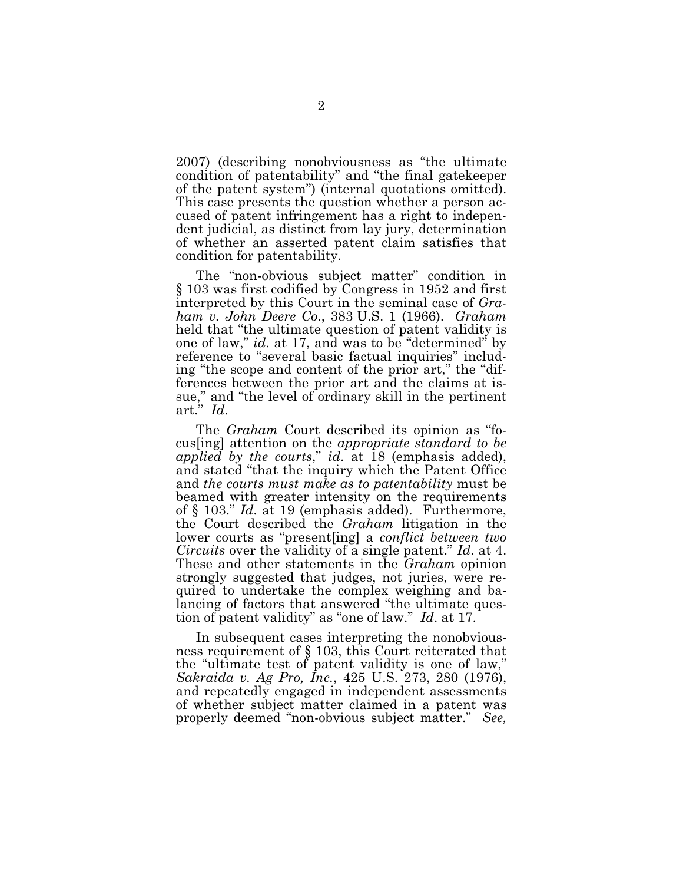2007) (describing nonobviousness as "the ultimate condition of patentability" and "the final gatekeeper of the patent system") (internal quotations omitted). This case presents the question whether a person accused of patent infringement has a right to independent judicial, as distinct from lay jury, determination of whether an asserted patent claim satisfies that condition for patentability.

The "non-obvious subject matter" condition in § 103 was first codified by Congress in 1952 and first interpreted by this Court in the seminal case of *Graham v. John Deere Co*., 383 U .S . 1 (1966). *G raham* held that "the ultimate question of patent validity is one of law," *id*. at 17, and was to be "determined" by reference to "several basic factual inquiries" including "the scope and content of the prior art," the "differences between the prior art and the claims at issue," and "the level of ordinary skill in the pertinent art." *Id*.

The *Graham* Court described its opinion as "focus[ing] attention on the *appropriate standard to be applied by the courts*," *id*. at 18 (emphasis added), and stated "that the inquiry which the Patent Office and *the courts must make as to patentability* must be beamed with greater intensity on the requirements of § 103." *Id.* at 19 (emphasis added). Furthermore, the Court described the *Graham* litigation in the lower courts as "present [ing] a *conflict between two Circuits* over the validity of a single patent." *Id*. at 4. These and other statements in the *G raham* opinion strongly suggested that judges, not juries, were required to undertake the complex weighing and balancing of factors that answered "the ultimate question of patent validity" as "one of law." *Id*. at 17.

In subsequent cases interpreting the nonobviousness requirement of  $\S$  103, this Court reiterated that the "ultimate test of patent validity is one of law," *Sakraida v. Ag P ro, Inc.*, 425 U .S. 273, 280 (1976), and repeatedly engaged in independent assessments of whether subject matter claimed in a patent was properly deemed "non-obvious subject matter." *See,*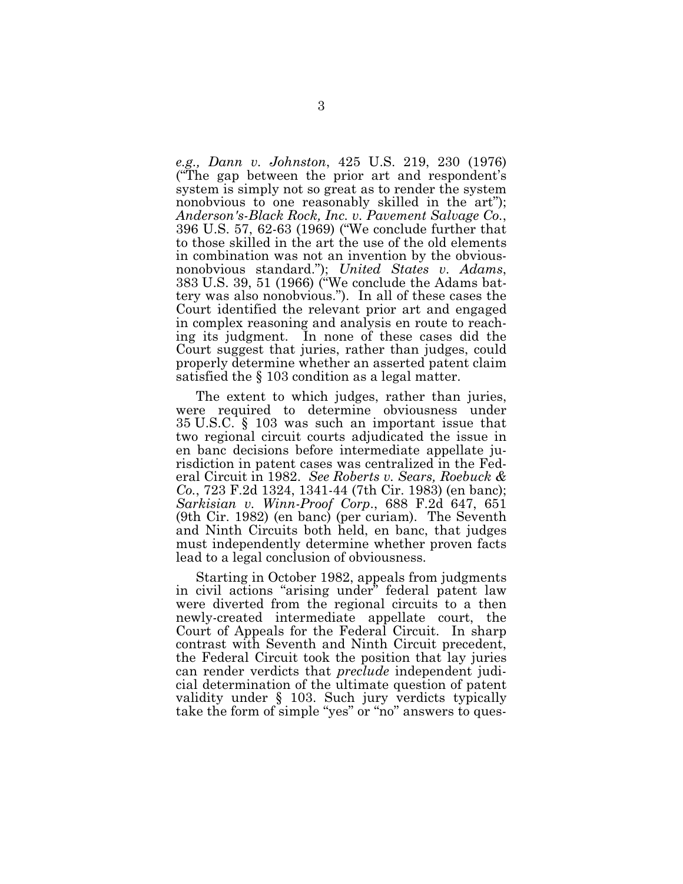*e.g., Dann v. Johnston, 425 U.S. 219, 230 (1976)* ("The gap between the prior art and respondent's system is simply not so great as to render the system nonobvious to one reasonably skilled in the art"); *Anderson's-B lack Rock, Inc. v. P avement Salvage Co.*, 396 U.S. 57, 62-63 (1969) ("We conclude further that to those skilled in the art the use of the old elements in combination was not an invention by the obviousnonobvious standard."); *U nited States v. Adams*, 383 U.S. 39, 51 (1966) ("We conclude the Adams battery was also nonobvious."). In all of these cases the Court identified the relevant prior art and engaged in complex reasoning and analysis en route to reaching its judgment. In none of these cases did the Court suggest that juries, rather than judges, could properly determine whether an asserted patent claim satisfied the § 103 condition as a legal matter.

The extent to which judges, rather than juries, were required to determine obviousness under 35 U.S.C. § 103 was such an important issue that two regional circuit courts adjudicated the issue in en banc decisions before intermediate appellate jurisdiction in patent cases was centralized in the Federal C ircuit in 1982. *See Roberts v. Sears, Roebuck & Co.*, 723 F.2d 1324, 1341-44 (7th Cir. 1983) (en banc); *Sarkisian v. W inn-P roof Corp*., 688 F .2d 647, 651  $(9th$  Cir. 1982) (en banc) (per curiam). The Seventh and Ninth Circuits both held, en banc, that judges must independently determine whether proven facts lead to a legal conclusion of obviousness.

Starting in October 1982, appeals from judgments in civil actions "arising under" federal patent law were diverted from the regional circuits to a then newly-created intermediate appellate court, the Court of Appeals for the Federal Circuit. In sharp contrast with Seventh and Ninth Circuit precedent, the Federal Circuit took the position that lay juries can render verdicts that *preclude* independent judicial determination of the ultimate question of patent validity under § 103. Such jury verdicts typically take the form of simple "yes" or "no" answers to ques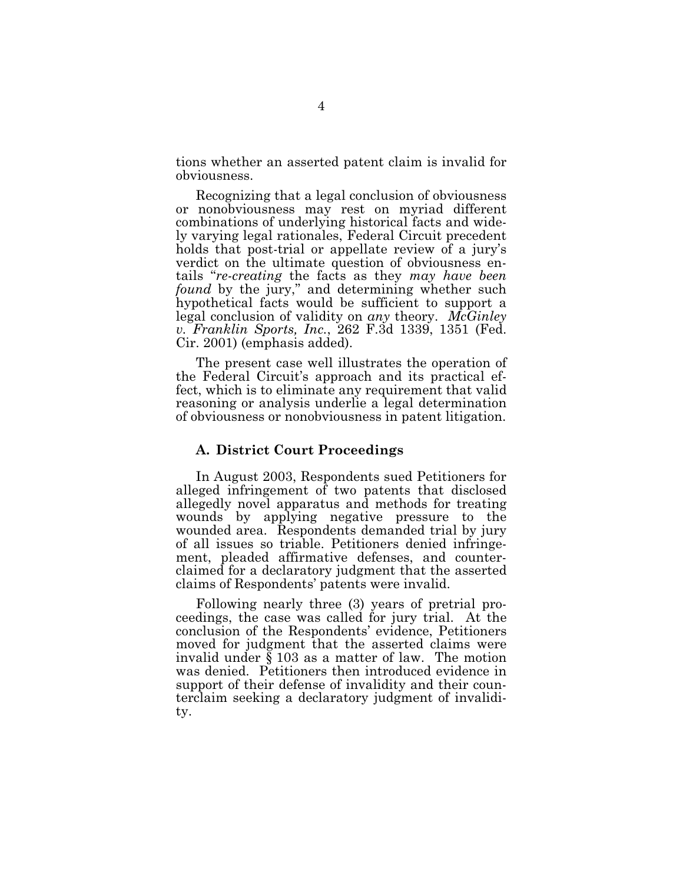tions whether an asserted patent claim is invalid for obviousness.

R ecognizing that a legal conclusion of obviousness or nonobviousness may rest on myriad different combinations of underlying historical facts and widely varying legal rationales, Federal Circuit precedent holds that post-trial or appellate review of a jury's verdict on the ultimate question of obviousness entails "*re-creating* the facts as they *may have been found* by the jury," and determining whether such hypothetical facts would be sufficient to support a legal conclusion of validity on *any* theory. *McGinley v. Franklin Sports, Inc.*, 262 F.3d 1339, 1351 (Fed. Cir. 2001) (emphasis added).

The present case well illustrates the operation of the Federal Circuit's approach and its practical effect, which is to eliminate any requirement that valid reasoning or analysis underlie a legal determination of obviousness or nonobviousness in patent litigation.

### A. District Court Proceedings

In August 2003, Respondents sued Petitioners for alleged infringement of two patents that disclosed allegedly novel apparatus and methods for treating wounds by applying negative pressure to the wounded area. Respondents demanded trial by jury of all issues so triable. Petitioners denied infringement, pleaded affirmative defenses, and counterclaimed for a declaratory judgment that the asserted claims of Respondents' patents were invalid.

Following nearly three (3) years of pretrial proceedings, the case was called for jury trial. At the conclusion of the Respondents' evidence, Petitioners moved for judgment that the asserted claims were invalid under § 103 as a matter of law. The motion was denied. Petitioners then introduced evidence in support of their defense of invalidity and their counterclaim seeking a declaratory judgment of invalidity.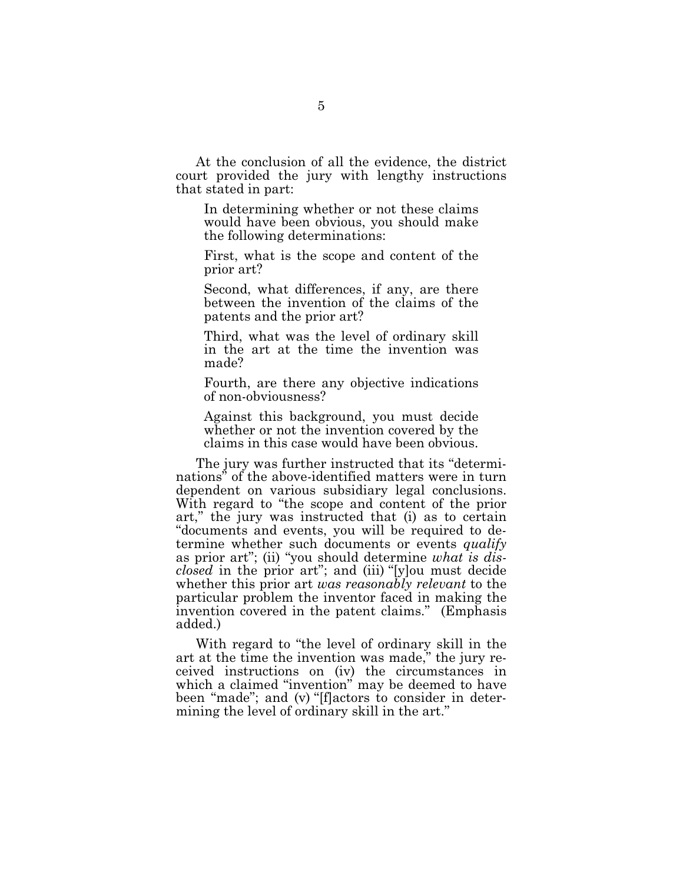At the conclusion of all the evidence, the district court provided the jury with lengthy instructions that stated in part:

In determining whether or not these claims would have been obvious, you should make the following determinations:

First, what is the scope and content of the prior art?

Second, what differences, if any, are there between the invention of the claims of the patents and the prior art?

Third, what was the level of ordinary skill in the art at the time the invention was made?

Fourth, are there any objective indications of non-obviousness?

Against this background, you must decide whether or not the invention covered by the claims in this case would have been obvious-

The jury was further instructed that its "determinations" of the above-identified matters were in turn dependent on various subsidiary legal conclusions. With regard to "the scope and content of the prior" art," the jury was instructed that (i) as to certain "documents and events, you will be required to determine whether such documents or events *qualify* as prior art"; (ii) "you should determine *w hat is disclosed* in the prior art"; and (iii) "[y]ou must decide whether this prior art *was reasonably relevant* to the particular problem the inventor faced in making the invention covered in the patent claims." (Emphasis added.)

With regard to "the level of ordinary skill in the art at the time the invention was made," the jury received instructions on (iv) the circumstances in which a claimed "invention" may be deemed to have been "made"; and (v) "[f]actors to consider in determining the level of ordinary skill in the art."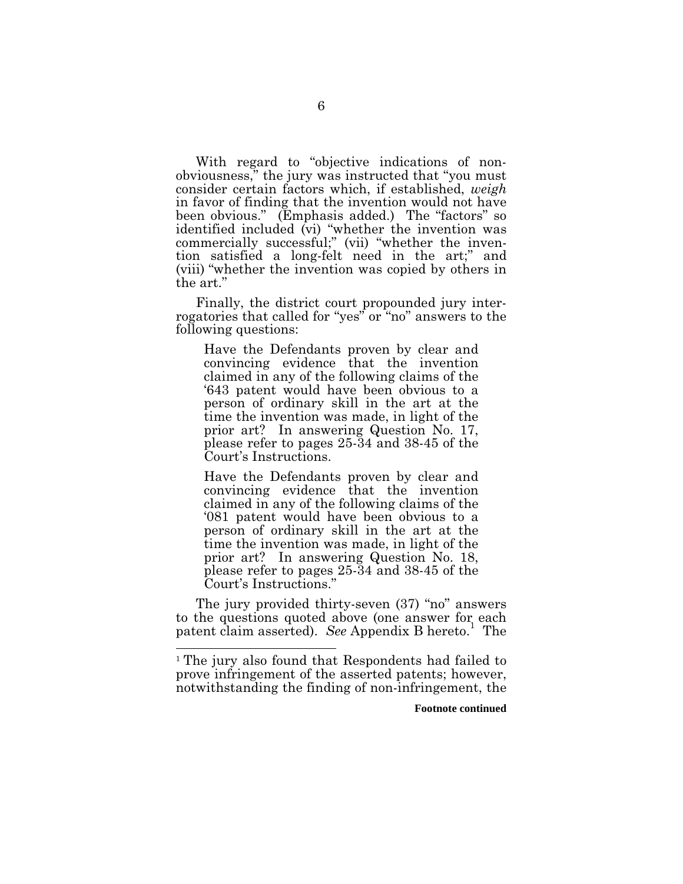With regard to "objective indications of nonobviousness," the jury was instructed that "you must consider certain factors which, if established, *weigh* in favor of finding that the invention would not have been obvious." (Emphasis added.) The "factors" so identified included (vi) "whether the invention was commercially successful;" (vii) "whether the invention satisfied a long-felt need in the art;" and (viii) "whether the invention was copied by others in the art."

Finally, the district court propounded jury interrogatories that called for "yes" or "no" answers to the following questions:

Have the Defendants proven by clear and convincing evidence that the invention claimed in any of the following claims of the '643 patent would have been obvious to a person of ordinary skill in the art at the time the invention was made, in light of the prior art? In answering Question No. 17, please refer to pages 25-34 and 38-45 of the Court's Instructions.

Have the Defendants proven by clear and convincing evidence that the invention claimed in any of the following claims of the '081 patent would have been obvious to a person of ordinary skill in the art at the time the invention was made, in light of the prior art? In answering Question No. 18, please refer to pages 25-34 and 38-45 of the Court's Instructions."

The jury provided thirty-seven (37) "no" answers to the questions quoted above (one answer for each patent claim asserted). *See* Appendix B hereto. <sup>1</sup> The

**Footnote continued**

 $1$  The jury also found that Respondents had failed to prove infringement of the asserted patents; however, notwithstanding the finding of non-infringement, the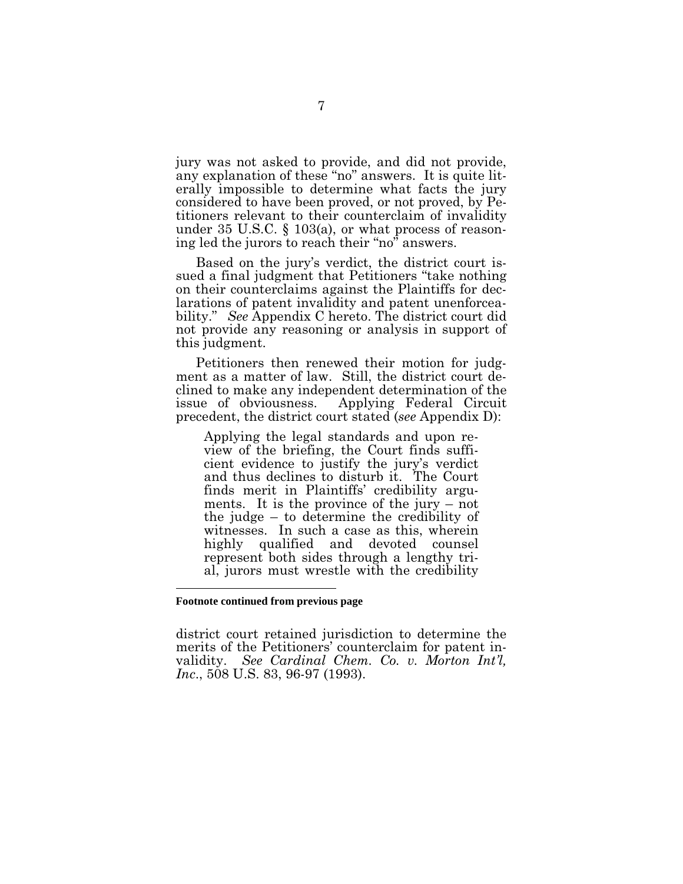jury was not asked to provide, and did not provide, any explanation of these "no" answers. It is quite literally impossible to determine what facts the jury considered to have been proved, or not proved, by Petitioners relevant to their counterclaim of invalidity under 35 U.S.C.  $\S$  103(a), or what process of reasoning led the jurors to reach their "no" answers.

Based on the jury's verdict, the district court issued a final judgment that Petitioners "take nothing on their counterclaims against the Plaintiffs for declarations of patent invalidity and patent unenforceability." *See* Appendix C hereto. The district court did not provide any reasoning or analysis in support of this judgment.

Petitioners then renewed their motion for judgment as a matter of law. Still, the district court declined to make any independent determination of the issue of obviousness. Applying Federal Circuit precedent, the district court stated (*see* Appendix D):

Applying the legal standards and upon review of the briefing, the Court finds sufficient evidence to justify the jury's verdict and thus declines to disturb it. The Court finds merit in Plaintiffs' credibility arguments. It is the province of the jury – not the judge – to determine the credibility of witnesses. In such a case as this, wherein highly qualified and devoted counsel represent both sides through a lengthy trial, jurors must wrestle with the credibility

#### **Footnote continued from previous page**

district court retained jurisdiction to determine the merits of the Petitioners' counterclaim for patent invalidity. *See Cardinal Chem. Co. v. M orton Int'l, Inc.*, 508 U.S. 83, 96-97 (1993).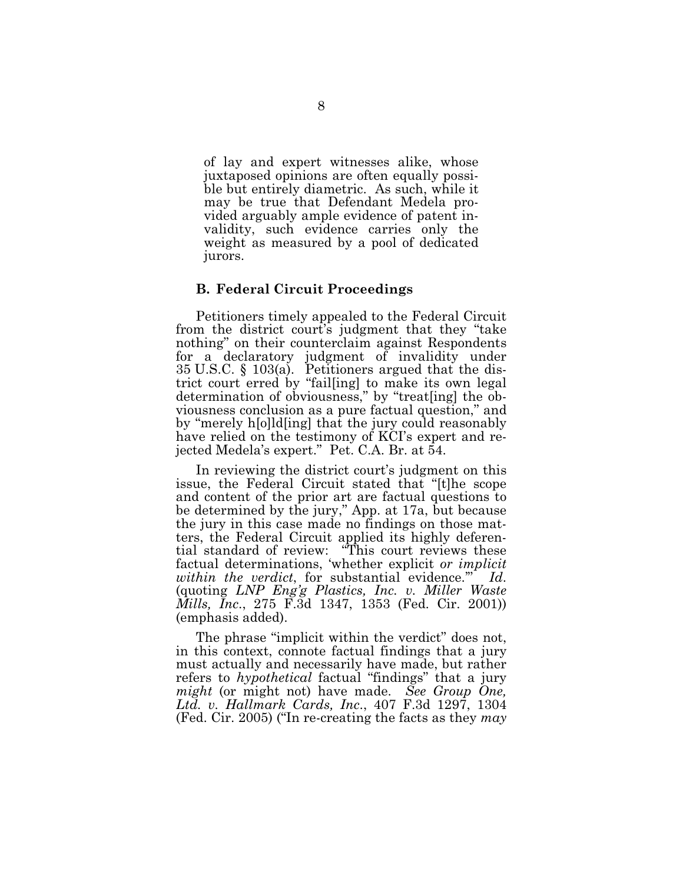of lay and expert witnesses alike, whose juxtaposed opinions are often equally possible but entirely diametric. As such, while it may be true that Defendant Medela provided arguably ample evidence of patent invalidity, such evidence carries only the weight as measured by a pool of dedicated jurors.

### **B . F ed eralCircu it Proceed in gs**

Petitioners timely appealed to the Federal Circuit from the district court's judgment that they "take nothing" on their counterclaim against Respondents for a declaratory judgment of invalidity under 35 U.S.C.  $\S$  103(a). Petitioners argued that the district court erred by "fail[ing] to make its own legal determination of obviousness," by "treat[ing] the obviousness conclusion as a pure factual question," and by "merely h[o]ld[ing] that the jury could reasonably have relied on the testimony of KCI's expert and rejected Medela's expert." Pet. C.A. Br. at 54.

In reviewing the district court's judgment on this issue, the Federal Circuit stated that "[t]he scope and content of the prior art are factual questions to be determined by the jury," App. at 17a, but because the jury in this case made no findings on those matters, the Federal Circuit applied its highly deferential standard of review: "This court reviews these factual determinations, 'whether explicit *or implicit w ithin the verdict*, for substantial evidence.'" *Id*. (quoting *L NP E ng'g P lastics, Inc. v. M iller W aste Mills, Inc.*, 275 F.3d 1347, 1353 (Fed. Cir. 2001)) (emphasis added).

The phrase "implicit within the verdict" does not, in this context, connote factual findings that a jury must actually and necessarily have made, but rather refers to *hypothetical* factual "findings" that a jury *might* (or might not) have made. *See Group One*, *L td. v. H allmark Cards, Inc*., 407 F .3d 1297, 1304 (Fed. Cir. 2005) ("In re-creating the facts as they *may*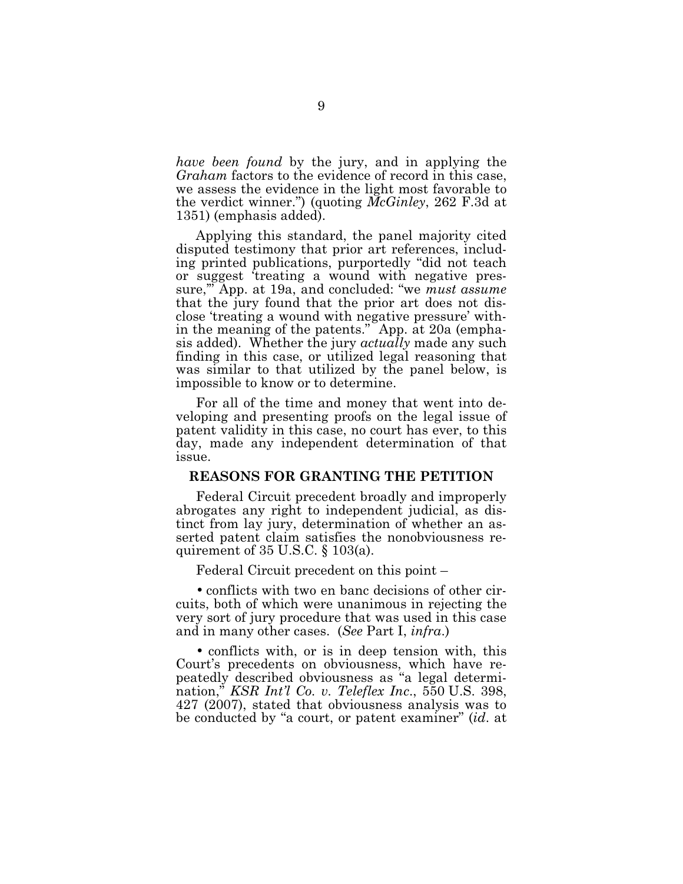*have been found* by the jury, and in applying the *Graham* factors to the evidence of record in this case, we assess the evidence in the light most favorable to the verdict winner.") (quoting *McGinley*, 262 F.3d at 1351) (emphasis added).

Applying this standard, the panel majority cited disputed testimony that prior art references, including printed publications, purportedly "did not teach or suggest 'treating a wound with negative pressure,'" App. at 19a, and concluded: "we *must assume* that the jury found that the prior art does not disclose 'treating a wound with negative pressure' within the meaning of the patents." App. at 20a (emphasis added). W hether the jury *actually* made any such finding in this case, or utilized legal reasoning that was similar to that utilized by the panel below, is impossible to know or to determine.

For all of the time and money that went into developing and presenting proofs on the legal issue of patent validity in this case, no court has ever, to this day, made any independent determination of that issue.

#### **REASONS F OR G RANTING TH E PETITION**

Federal Circuit precedent broadly and improperly abrogates any right to independent judicial, as distinct from lay jury, determination of whether an asserted patent claim satisfies the nonobviousness requirement of  $35 \text{ U.S.C.}$  §  $103(a)$ .

Federal Circuit precedent on this point –

• conflicts with two en banc decisions of other circuits, both of which were unanimous in rejecting the very sort of jury procedure that was used in this case and in many other cases. (*See* Part I, *infra*.)

• conflicts with, or is in deep tension with, this Court's precedents on obviousness, which have repeatedly described obviousness as "a legal determination," *KSR Int'l Co. v. Teleflex Inc*., 550 U .S . 398, 427 (2007), stated that obviousness analysis was to be conducted by "a court, or patent examiner" (*id*. at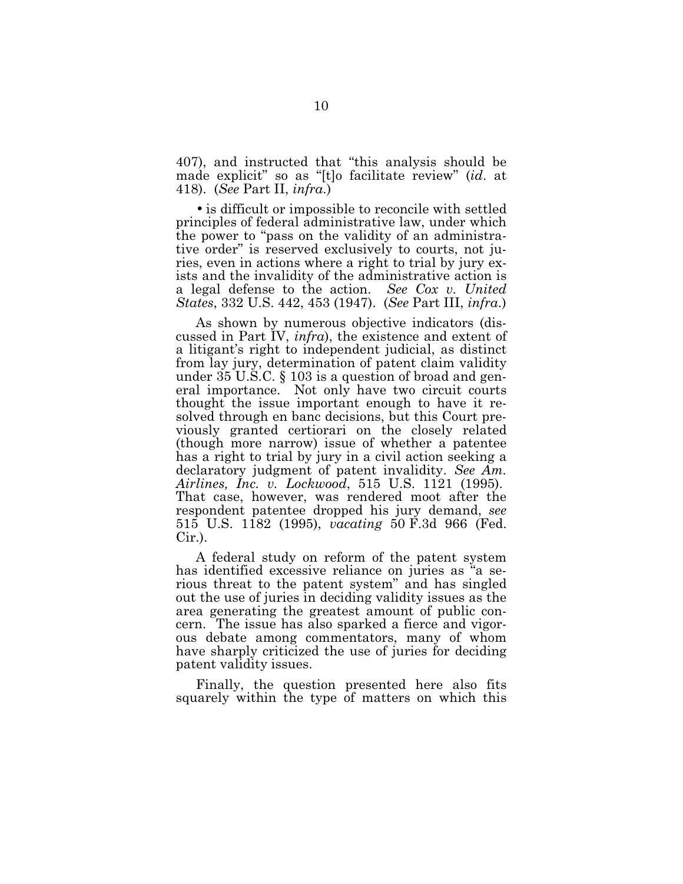407), and instructed that "this analysis should be made explicit" so as "[t]o facilitate review" (*id*. at 418). (*See* Part II, *infra*.)

• is difficult or impossible to reconcile with settled principles of federal administrative law, under which the power to "pass on the validity of an administrative order" is reserved exclusively to courts, not juries, even in actions where a right to trial by jury exists and the invalidity of the administrative action is a legal defense to the action. *See Cox v. U nited States*, 332 U .S . 442, 453 (1947). (*See* Part III, *infra*.)

As shown by numerous objective indicators (discussed in Part IV, *infra*), the existence and extent of a litigant's right to independent judicial, as distinct from lay jury, determination of patent claim validity under  $35$  U.S.C.  $\S$  103 is a question of broad and general importance. Not only have two circuit courts thought the issue important enough to have it resolved through en banc decisions, but this Court previously granted certiorari on the closely related (though more narrow) issue of whether a patentee has a right to trial by jury in a civil action seeking a declaratory judgment of patent invalidity. *See Am. Airlines, Inc. v. L ockw ood*, 515 U .S . 1121 (1995). That case, however, was rendered moot after the respondent patentee dropped his jury demand, *see* 515 U.S. 1182 (1995), *vacating* 50 F.3d 966 (Fed.  $Cir.$ ).

A federal study on reform of the patent system has identified excessive reliance on juries as "a serious threat to the patent system" and has singled out the use of juries in deciding validity issues as the area generating the greatest amount of public concern. The issue has also sparked a fierce and vigorous debate among commentators, many of whom have sharply criticized the use of juries for deciding patent validity issues.

Finally, the question presented here also fits squarely within the type of matters on which this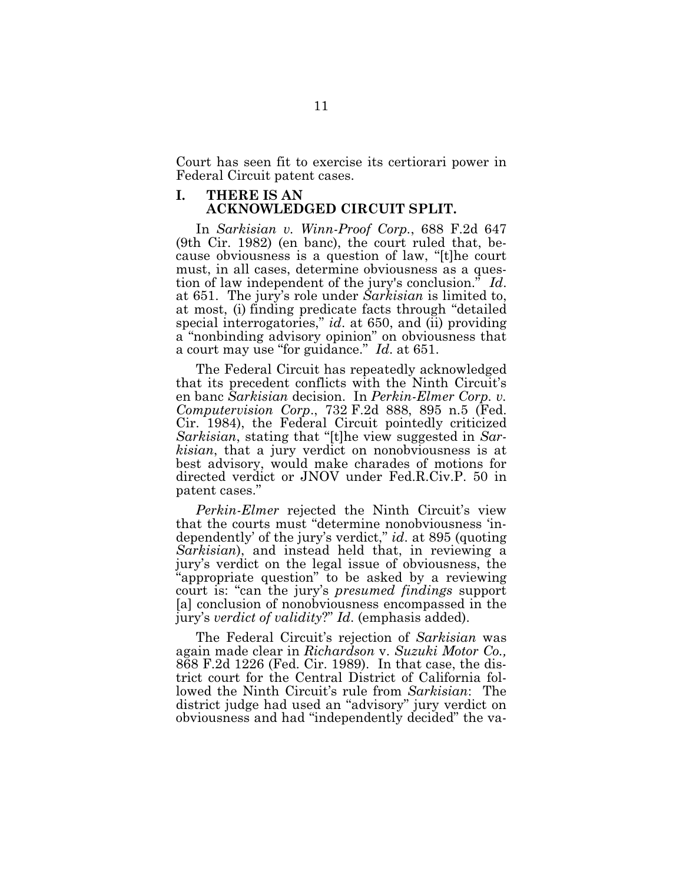Court has seen fit to exercise its certiorari power in Federal Circuit patent cases.

### **I. TH ERE IS AN ACK NOW L EDG ED CIRCUIT SPL IT.**

In *Sarkisian v. W inn-P roof Corp.*, 688 F .2d 647  $(9th$  Cir. 1982) (en banc), the court ruled that, because obviousness is a question of law, "[t]he court must, in all cases, determine obviousness as a question of law independent of the jury's conclusion." *Id*. at 651. The jury's role under *Sarkisian* is limited to, at most, (i) finding predicate facts through "detailed special interrogatories," *id*. at 650, and (ii) providing a "nonbinding advisory opinion" on obviousness that a court may use "for guidance." *Id*. at 651.

The Federal Circuit has repeatedly acknowledged that its precedent conflicts with the Ninth Circuit's en banc *Sarkisian* decision. In *Perkin-Elmer Corp. v. Computervision Corp.*, 732 F.2d 888, 895 n.5 (Fed. Cir. 1984), the Federal Circuit pointedly criticized *Sarkisian*, stating that "[t]he view suggested in *Sarkisian*, that a jury verdict on nonobviousness is at best advisory, would make charades of motions for directed verdict or JNOV under Fed.R.Civ.P. 50 in patent cases."

*Perkin-Elmer* rejected the Ninth Circuit's view that the courts must "determine nonobviousness 'independently' of the jury's verdict," *id*. at 895 (quoting *Sarkisian*), and instead held that, in reviewing a jury's verdict on the legal issue of obviousness, the "appropriate question" to be asked by a reviewing court is: "can the jury's *presumed findings* support [a] conclusion of nonobviousness encompassed in the jury's *verdict of validity*?" *Id*. (emphasis added).

The Federal Circuit's rejection of *Sarkisian* was again made clear in *Richardson* v. *Suzuki M otor Co.,* 868 F.2d 1226 (Fed. Cir. 1989). In that case, the district court for the Central District of California followed the Ninth Circuit's rule from *Sarkisian*: The district judge had used an "advisory" jury verdict on obviousness and had "independently decided" the va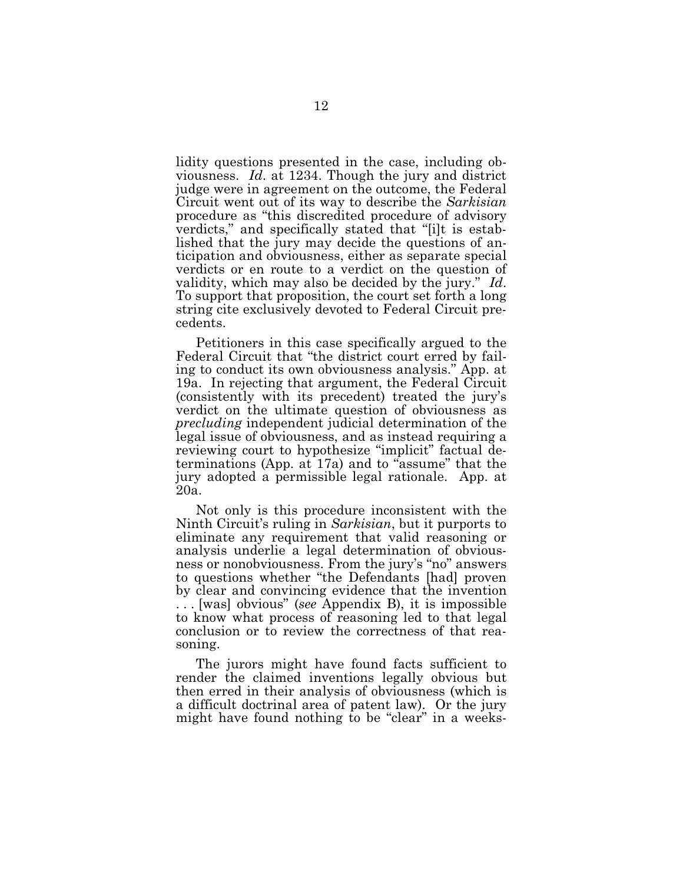lidity questions presented in the case, including obviousness. *Id*. at 1234. Though the jury and district judge were in agreement on the outcome, the Federal Circuit went out of its way to describe the *Sarkisian* procedure as "this discredited procedure of advisory verdicts," and specifically stated that "[i]t is established that the jury may decide the questions of anticipation and obviousness, either as separate special verdicts or en route to a verdict on the question of validity, which may also be decided by the jury." *Id*. To support that proposition, the court set forth a long string cite exclusively devoted to Federal Circuit precedents.

Petitioners in this case specifically argued to the Federal Circuit that "the district court erred by failing to conduct its own obviousness analysis." App. at 19a. In rejecting that argument, the Federal Circuit (consistently with its precedent) treated the jury's verdict on the ultimate question of obviousness as *precluding* independent judicial determination of the legal issue of obviousness, and as instead requiring a reviewing court to hypothesize "implicit" factual determinations (App. at 17a) and to "assume" that the jury adopted a permissible legal rationale. App. at 20a.

Not only is this procedure inconsistent with the N inth Circuit's ruling in *Sarkisian*, but it purports to eliminate any requirement that valid reasoning or analysis underlie a legal determination of obviousness or nonobviousness. From the jury's "no" answers to questions whether "the Defendants [had] proven by clear and convincing evidence that the invention ... [was] obvious" (*see* Appendix B), it is impossible to know what process of reasoning led to that legal conclusion or to review the correctness of that reasoning.

The jurors might have found facts sufficient to render the claimed inventions legally obvious but then erred in their analysis of obviousness (which is a difficult doctrinal area of patent law). Or the jury might have found nothing to be "clear" in a weeks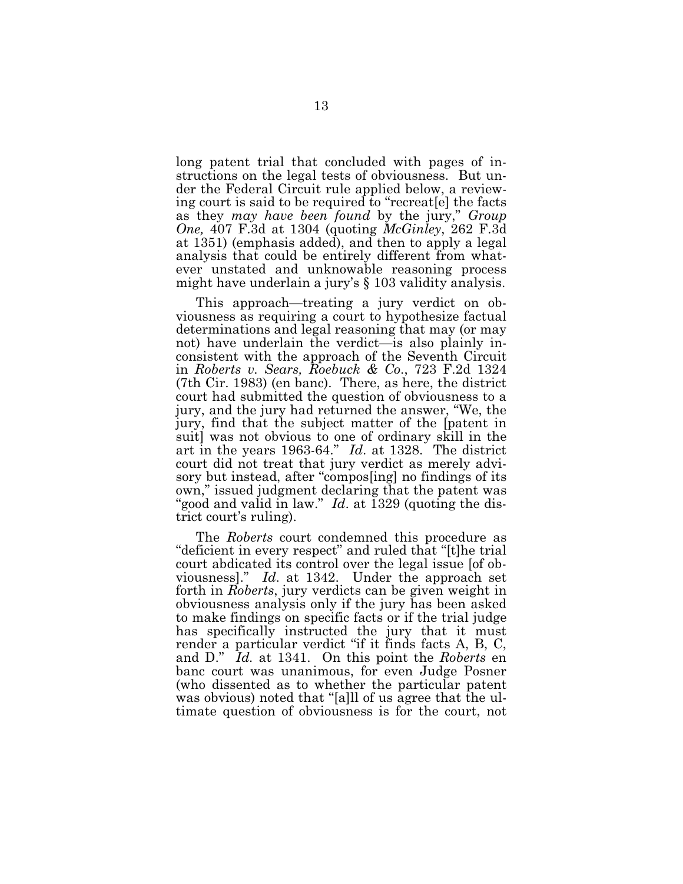long patent trial that concluded with pages of instructions on the legal tests of obviousness. But under the Federal Circuit rule applied below, a reviewing court is said to be required to "recreat [e] the facts as they *may* have been found by the jury," *Group O ne,* 407 F .3d at 1304 (quoting *M cG inley*, 262 F .3d at 1351) (emphasis added), and then to apply a legal analysis that could be entirely different from whatever unstated and unknowable reasoning process might have underlain a jury's § 103 validity analysis.

This approach—treating a jury verdict on obviousness as requiring a court to hypothesize factual determinations and legal reasoning that may (or may not) have underlain the verdict—is also plainly inconsistent with the approach of the Seventh Circuit in *Roberts v. Sears, Roebuck & Co*., 723 F .2d 1324  $(7th$  Cir. 1983) (en banc). There, as here, the district court had submitted the question of obviousness to a jury, and the jury had returned the answer, "We, the jury, find that the subject matter of the [patent in suit] was not obvious to one of ordinary skill in the art in the years 1963-64." *Id*. at 1328. The district court did not treat that jury verdict as merely advisory but instead, after "compossing" no findings of its own," issued judgment declaring that the patent was "good and valid in law." *Id*. at 1329 (quoting the district court's ruling).

The *Roberts* court condemned this procedure as "deficient in every respect" and ruled that "[t]he trial court abdicated its control over the legal issue [of obviousness]." *Id.* at 1342. Under the approach set forth in *Roberts*, jury verdicts can be given weight in obviousness analysis only if the jury has been asked to make findings on specific facts or if the trial judge has specifically instructed the jury that it must render a particular verdict "if it finds facts  $A$ ,  $B$ ,  $C$ , and D." *Id.* at 1341. On this point the *Roberts* en banc court was unanimous, for even Judge Posner (who dissented as to whether the particular patent was obvious) noted that "[a]ll of us agree that the ultimate question of obviousness is for the court, not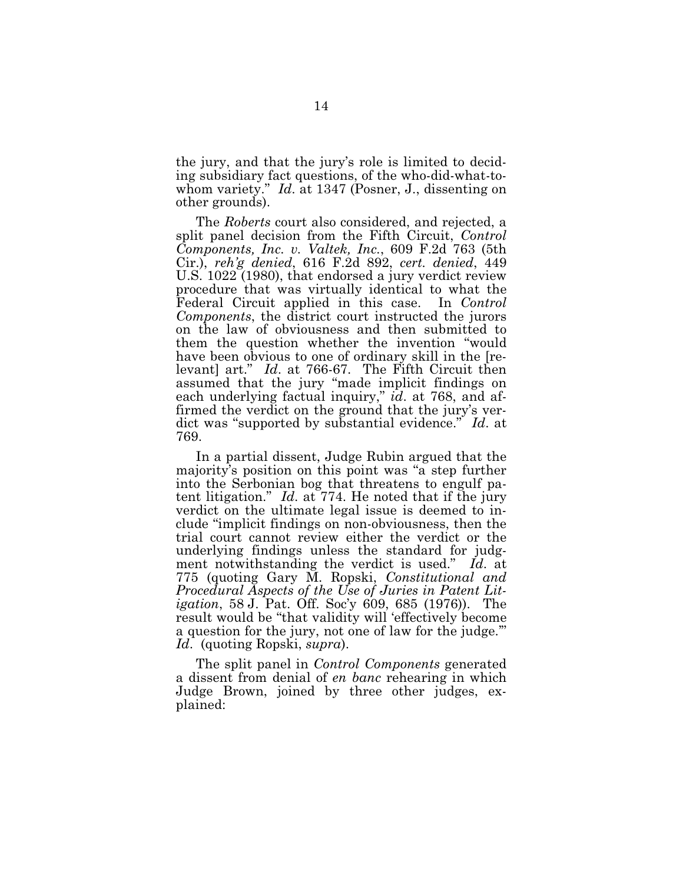the jury, and that the jury's role is limited to deciding subsidiary fact questions, of the who-did-what-towhom variety." *Id*. at 1347 (Posner, J., dissenting on other grounds).

The *Roberts* court also considered, and rejected, a split panel decision from the Fifth Circuit, *Control Components, Inc. v. V altek, Inc.*, 609 F .2d 763 (5th C ir.), *reh'g denied*, 616 F .2d 892, *cert. denied*, 449 U.S. 1022 (1980), that endorsed a jury verdict review procedure that was virtually identical to what the Federal Circuit applied in this case. In *Control Components*, the district court instructed the jurors on the law of obviousness and then submitted to them the question whether the invention "would have been obvious to one of ordinary skill in the [relevant] art." *Id.* at 766-67. The Fifth Circuit then assumed that the jury "made implicit findings on each underlying factual inquiry," *id*. at 768, and affirmed the verdict on the ground that the jury's verdict was "supported by substantial evidence." *Id*. at 769.

In a partial dissent, Judge Rubin argued that the majority's position on this point was "a step further into the Serbonian bog that threatens to engulf patent litigation." *Id.* at 774. He noted that if the jury verdict on the ultimate legal issue is deemed to include "implicit findings on non-obviousness, then the trial court cannot review either the verdict or the underlying findings unless the standard for judgment notwithstanding the verdict is used." *Id*. at 775 (quoting G ary M . R opski, *Constitutional and P rocedural Aspects of the U se of Juries in P atent L itigation*, 58 J. Pat. Off. Soc'y 609, 685 (1976)). The result would be "that validity will 'effectively become a question for the jury, not one of law for the judge.'" *Id.* (quoting Ropski, *supra*).

The split panel in *Control Components* generated a dissent from denial of *en banc* rehearing in which Judge Brown, joined by three other judges, explained: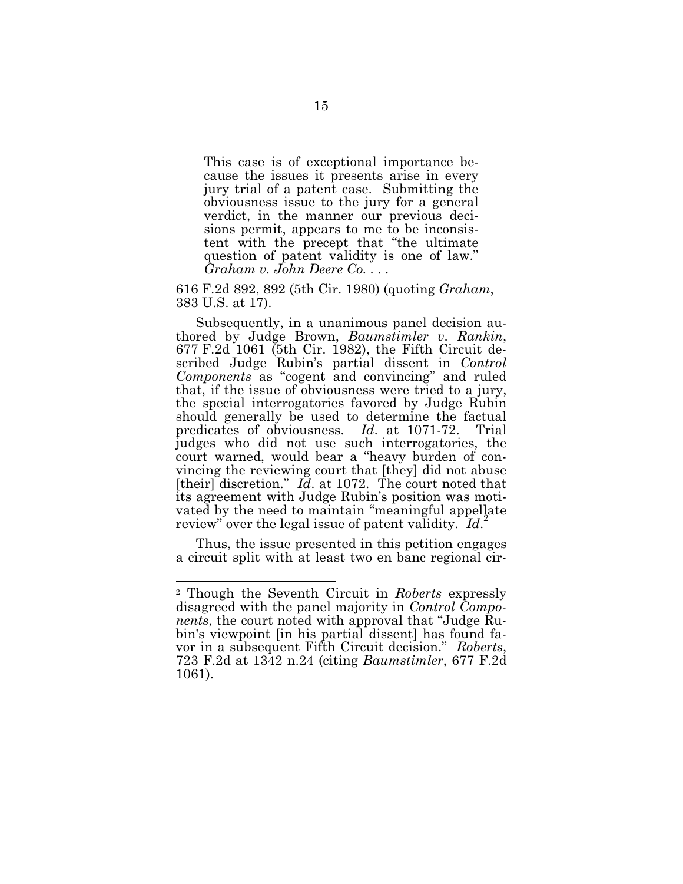This case is of exceptional importance because the issues it presents arise in every jury trial of a patent case. Submitting the obviousness issue to the jury for a general verdict, in the manner our previous decisions permit, appears to me to be inconsistent with the precept that "the ultimate question of patent validity is one of law." *G raham v. John Deere Co. . . .*

616 F .2d 892, 892 (5th C ir. 1980) (quoting *G raham*, 383 U.S. at 17).

Subsequently, in a unanimous panel decision authored by Judge Brown, *Baumstimler v. Rankin*,  $677$  F.2d 1061 (5th Cir. 1982), the Fifth Circuit described Judge Rubin's partial dissent in *Control Components* as "cogent and convincing" and ruled that, if the issue of obviousness were tried to a jury, the special interrogatories favored by Judge Rubin should generally be used to determine the factual predicates of obviousness. *Id*. at 1071-72. Trial judges who did not use such interrogatories, the court warned, would bear a "heavy burden of convincing the reviewing court that [they] did not abuse [their] discretion."  $I\ddot{d}$ . at 1072. The court noted that its agreement with Judge Rubin's position was motivated by the need to maintain "meaningful appellate"<br>"wish" was the legal issue of natent validity. If  $\frac{1}{2}$ review" over the legal issue of patent validity. *Id*.

Thus, the issue presented in this petition engages a circuit split with at least two en banc regional cir-

<sup>&</sup>lt;sup>2</sup> Though the Seventh Circuit in *Roberts* expressly disagreed with the panel majority in *Control Components*, the court noted with approval that "Judge Rubin's viewpoint [in his partial dissent] has found favor in a subsequent Fifth Circuit decision." Roberts, 723 F .2d at 1342 n.24 (citing *B aumstimler*, 677 F .2d 1061).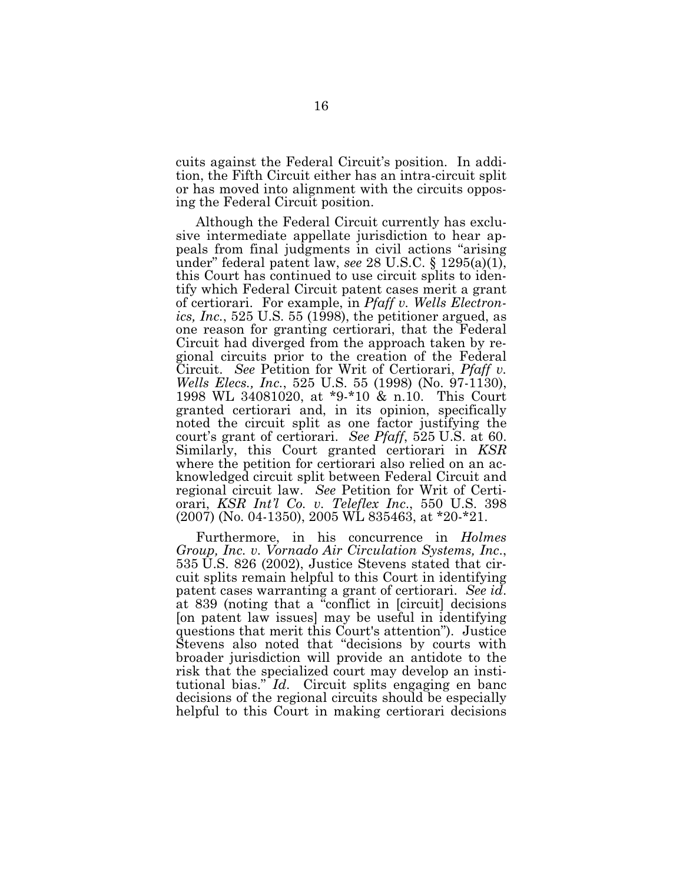cuits against the Federal Circuit's position. In addition, the Fifth Circuit either has an intra-circuit split or has moved into alignment with the circuits opposing the Federal Circuit position.

Although the Federal Circuit currently has exclusive intermediate appellate jurisdiction to hear appeals from final judgments in civil actions "arising under" federal patent law, *see* 28 U.S.C. § 1295(a)(1), this Court has continued to use circuit splits to identify which Federal Circuit patent cases merit a grant of certiorari. For example, in *Pfaff v. Wells Electron ics, Inc.*, 525 U .S. 55 (1998), the petitioner argued, as one reason for granting certiorari, that the Federal Circuit had diverged from the approach taken by regional circuits prior to the creation of the Federal Circuit. *See* Petition for Writ of Certiorari, *Pfaff v. Wells Elecs., Inc.,* 525 U.S. 55 (1998) (No. 97-1130), 1998 WL 34081020, at \*9-\*10 & n.10. This Court granted certiorari and, in its opinion, specifically noted the circuit split as one factor justifying the court's grant of certiorari. *See P faff*, 525 U .S . at 60. Similarly, this Court granted certiorari in *KSR* where the petition for certiorari also relied on an acknowledged circuit split between Federal Circuit and regional circuit law. *See* Petition for Writ of Certiorari, *KSR Int'l Co. v. Teleflex Inc*., 550 U .S . 398  $(2007)$  (No. 04-1350), 2005 WL 835463, at \*20-\*21.

Furthermore, in his concurrence in *Holmes G roup, Inc. v. V ornado Air Circulation Systems, Inc*., 535 U.S. 826 (2002), Justice Stevens stated that circuit splits remain helpful to this Court in identifying patent cases warranting a grant of certiorari. *See id*. at 839 (noting that a "conflict in [circuit] decisions [on patent law issues] may be useful in identifying questions that merit this Court's attention"). Justice Stevens also noted that "decisions by courts with broader jurisdiction will provide an antidote to the risk that the specialized court may develop an institutional bias." *Id*. Circuit splits engaging en banc decisions of the regional circuits should be especially helpful to this Court in making certiorari decisions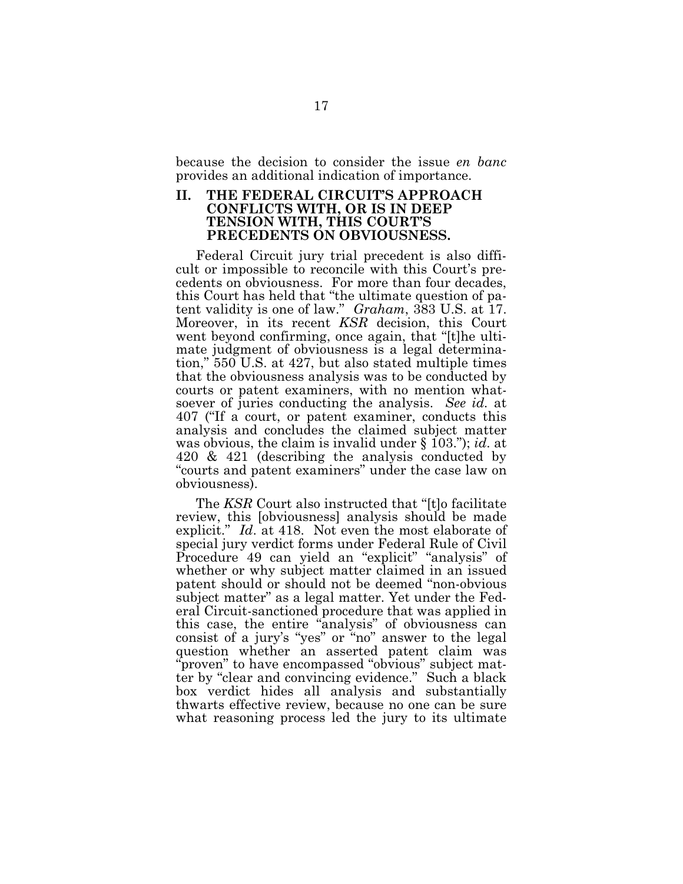because the decision to consider the issue *en banc* provides an additional indication of importance.

#### **II.** THE FEDERAL CIRCUIT'S APPROACH **CONF L ICTS W ITH ,OR IS IN DEEP TENSION W ITH ,TH IS COURT'S PRECEDENTS ON OB V IOUSNESS.**

Federal Circuit jury trial precedent is also difficult or impossible to reconcile with this Court's precedents on obviousness. For more than four decades, this Court has held that "the ultimate question of patent validity is one of law." *Graham*, 383 U.S. at 17. Moreover, in its recent *KSR* decision, this Court went beyond confirming, once again, that "[t]he ultimate judgment of obviousness is a legal determination," 550 U.S. at 427, but also stated multiple times that the obviousness analysis was to be conducted by courts or patent examiners, with no mention whatsoever of juries conducting the analysis. *See id.* at 407 ("If a court, or patent examiner, conducts this analysis and concludes the claimed subject matter was obvious, the claim is invalid under § 103.");*id*. at 420 & 421 (describing the analysis conducted by "courts and patent examiners" under the case law on obviousness).

The *KSR* Court also instructed that "[t]o facilitate review, this [obviousness] analysis should be made explicit." *Id.* at 418. Not even the most elaborate of special jury verdict forms under Federal Rule of Civil Procedure 49 can yield an "explicit" "analysis" of whether or why subject matter claimed in an issued patent should or should not be deemed "non-obvious subject matter" as a legal matter. Yet under the Federal Circuit-sanctioned procedure that was applied in this case, the entire "analysis" of obviousness can consist of a jury's "yes" or "no" answer to the legal question whether an asserted patent claim was "proven" to have encompassed "obvious" subject matter by "clear and convincing evidence." Such a black box verdict hides all analysis and substantially thwarts effective review, because no one can be sure what reasoning process led the jury to its ultimate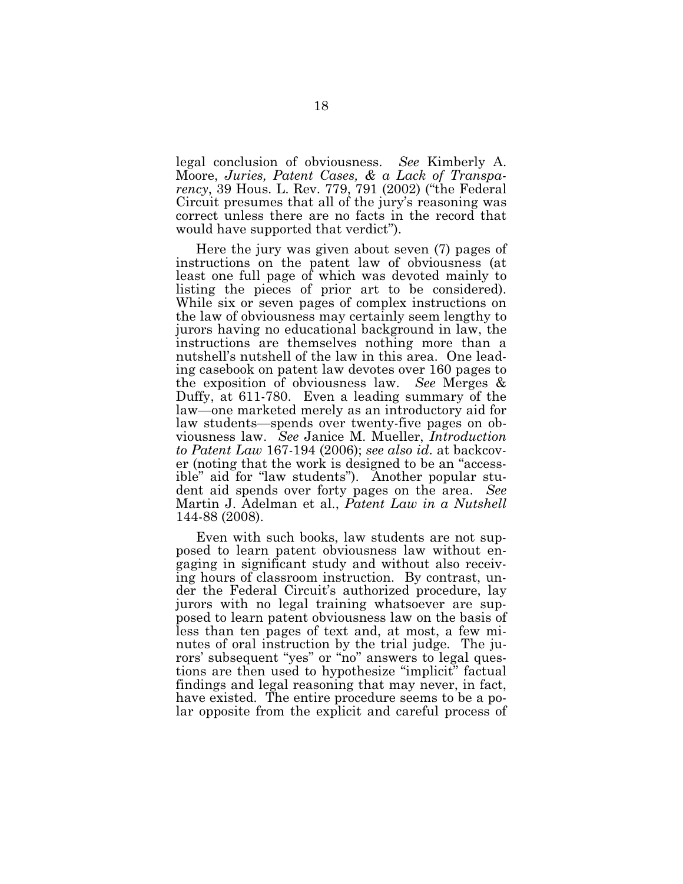legal conclusion of obviousness. *See* Kimberly A. M oore, *Juries, P atent Cases, & a L ack of Transparency*, 39 Hous. L. Rev. 779, 791 (2002) ("the Federal Circuit presumes that all of the jury's reasoning was correct unless there are no facts in the record that would have supported that verdict").

Here the jury was given about seven (7) pages of instructions on the patent law of obviousness (at least one full page of which was devoted mainly to listing the pieces of prior art to be considered). While six or seven pages of complex instructions on the law of obviousness may certainly seem lengthy to jurors having no educational background in law, the instructions are themselves nothing more than a nutshell's nutshell of the law in this area. One leading casebook on patent law devotes over 160 pages to the exposition of obviousness law. See Merges & Duffy, at  $611-780$ . Even a leading summary of the law—one marketed merely as an introductory aid for law students—spends over twenty-five pages on obviousness law. See Janice M. Mueller, *Introduction to P atent L aw* 167-194 (2006);*see also id*. at backcover (noting that the work is designed to be an "accessible" aid for "law students"). Another popular student aid spends over forty pages on the area. *See* M artin J. Adelman et al., *P atent L aw in a Nutshell* 144-88 (2008).

Even with such books, law students are not supposed to learn patent obviousness law without engaging in significant study and without also receiving hours of classroom instruction. By contrast, under the Federal Circuit's authorized procedure, lay jurors with no legal training whatsoever are supposed to learn patent obviousness law on the basis of less than ten pages of text and, at most, a few minutes of oral instruction by the trial judge. The jurors' subsequent "yes" or "no" answers to legal questions are then used to hypothesize "implicit" factual findings and legal reasoning that may never, in fact, have existed. The entire procedure seems to be a polar opposite from the explicit and careful process of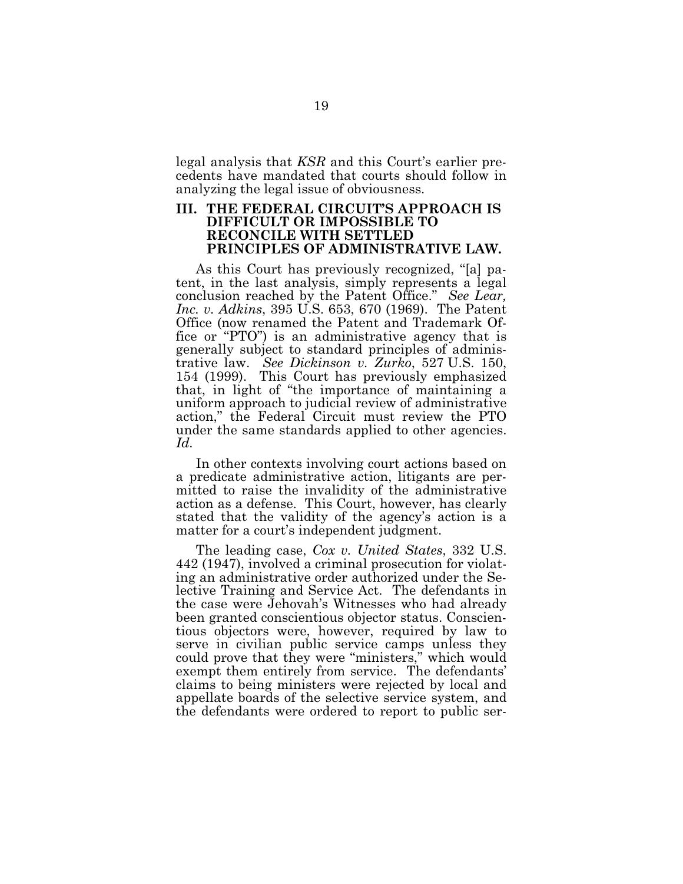legal analysis that *KSR* and this Court's earlier precedents have mandated that courts should follow in analyzing the legal issue of obviousness.

### **III. TH E F EDERAL CIRCUIT'S APPROACH IS DIF F ICUL T OR IM POSSIB L E TO RECONCILE WITH SETTLED PRINCIPL ES OF ADM INISTRATIV E L AW .**

As this Court has previously recognized, "[a] patent, in the last analysis, simply represents a legal conclusion reached by the Patent Office." See Lear, *Inc. v. Adkins*, 395 U .S . 653, 670 (1969). The Patent Office (now renamed the Patent and Trademark Office or "PTO") is an administrative agency that is generally subject to standard principles of administrative law. *See Dickinson v. Z urko*, 527 U .S . 150, 154 (1999). This Court has previously emphasized that, in light of "the importance of maintaining a uniform approach to judicial review of administrative action," the Federal Circuit must review the PTO under the same standards applied to other agencies. *Id.*

In other contexts involving court actions based on a predicate administrative action, litigants are permitted to raise the invalidity of the administrative action as a defense. This Court, however, has clearly stated that the validity of the agency's action is a matter for a court's independent judgment.

The leading case, *Cox v. U nited States*, 332 U .S . 442 (1947), involved a criminal prosecution for violating an administrative order authorized under the Selective Training and Service Act. The defendants in the case were Jehovah's Witnesses who had already been granted conscientious objector status. Conscientious objectors were, however, required by law to serve in civilian public service camps unless they could prove that they were "ministers," which would exempt them entirely from service. The defendants' claims to being ministers were rejected by local and appellate boards of the selective service system, and the defendants were ordered to report to public ser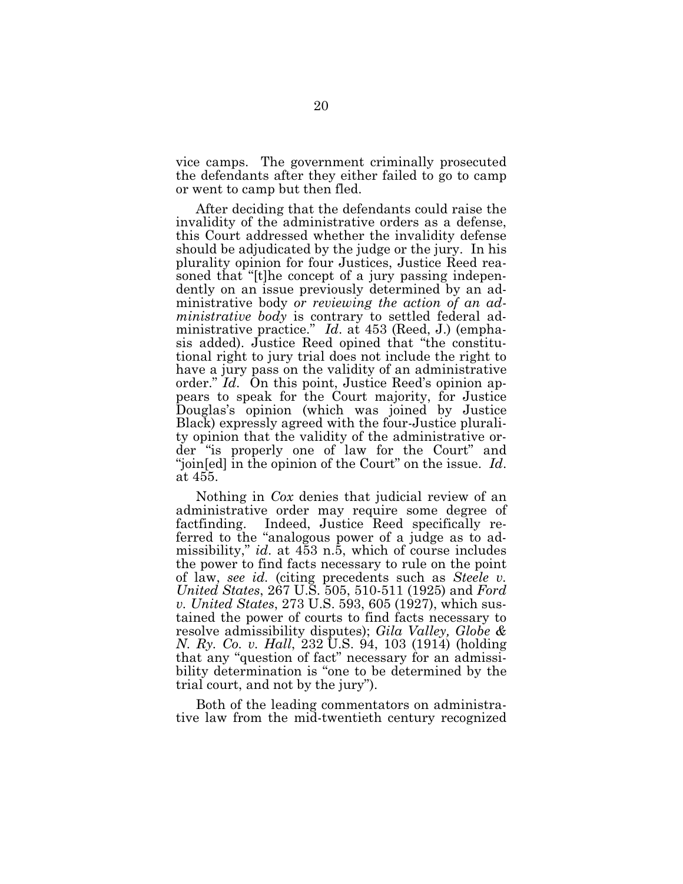vice camps. The government criminally prosecuted the defendants after they either failed to go to camp or went to camp but then fled.

After deciding that the defendants could raise the invalidity of the administrative orders as a defense, this Court addressed whether the invalidity defense should be adjudicated by the judge or the jury. In his plurality opinion for four Justices, Justice Reed reasoned that "[t]he concept of a jury passing independently on an issue previously determined by an administrative body *or reviewing* the *action of an administrative body* is contrary to settled federal administrative practice." *Id.* at 453 (Reed, J.) (emphasis added). Justice Reed opined that "the constitutional right to jury trial does not include the right to have a jury pass on the validity of an administrative order." *Id.* On this point, Justice Reed's opinion appears to speak for the Court majority, for Justice Douglas's opinion (which was joined by Justice Black) expressly agreed with the four-Justice plurality opinion that the validity of the administrative order "is properly one of law for the Court" and "join[ed] in the opinion of the Court" on the issue. Id. at 455.

Nothing in *Cox* denies that judicial review of an administrative order may require some degree of factfinding. Indeed, Justice Reed specifically referred to the "analogous power of a judge as to admissibility," *id*. at 453 n.5, which of course includes the power to find facts necessary to rule on the point of law, *see id.* (citing precedents such as *Steele v. U nited States*, 267 U .S . 505, 510-511 (1925) and *Ford v. U nited States*, 273 U .S . 593, 605 (1927), which sustained the power of courts to find facts necessary to resolve admissibility disputes); *G ila V alley, G lobe & N. Ry. Co. v. H all*, 232 U .S . 94, 103 (1914) (holding that any "question of fact" necessary for an admissibility determination is "one to be determined by the trial court, and not by the jury").

Both of the leading commentators on administrative law from the mid-twentieth century recognized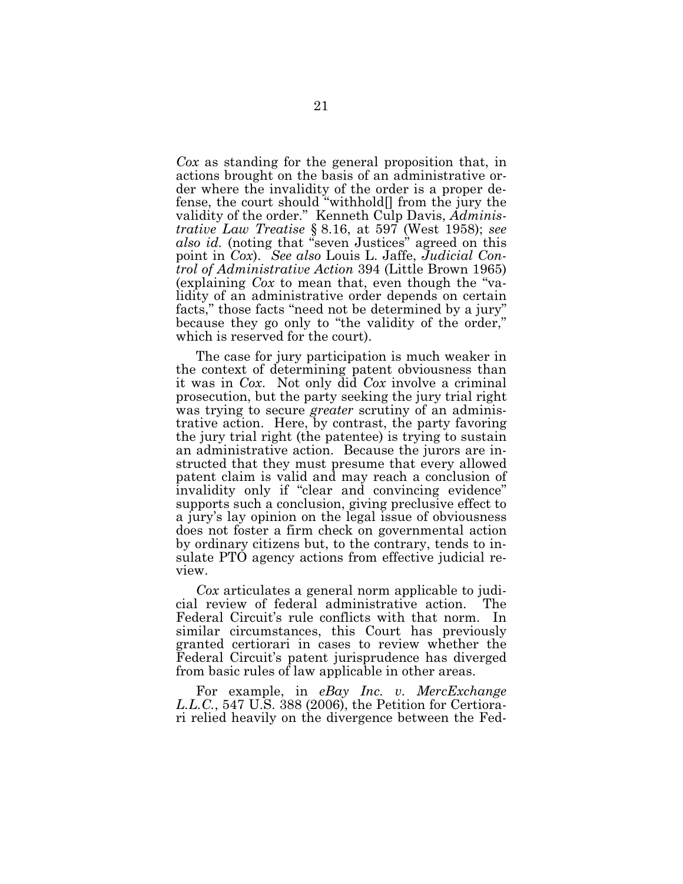Cox as standing for the general proposition that, in actions brought on the basis of an administrative order where the invalidity of the order is a proper defense, the court should "withhold" from the jury the validity of the order." Kenneth Culp Davis, Adminis*trative Law Treatise* § 8.16, at 597 (West 1958); see also id. (noting that "seven Justices" agreed on this point in Cox). See also Louis L. Jaffe, Judicial Control of Administrative Action 394 (Little Brown 1965) (explaining Cox to mean that, even though the "validity of an administrative order depends on certain facts," those facts "need not be determined by a jury" because they go only to "the validity of the order," which is reserved for the court).

The case for jury participation is much weaker in the context of determining patent obviousness than it was in *Cox*. Not only did *Cox* involve a criminal prosecution, but the party seeking the jury trial right was trying to secure *greater* scrutiny of an administrative action. Here, by contrast, the party favoring the jury trial right (the patentee) is trying to sustain an administrative action. Because the jurors are instructed that they must presume that every allowed patent claim is valid and may reach a conclusion of invalidity only if "clear and convincing evidence" supports such a conclusion, giving preclusive effect to a jury's lay opinion on the legal issue of obviousness does not foster a firm check on governmental action by ordinary citizens but, to the contrary, tends to insulate PTO agency actions from effective judicial review.

Cox articulates a general norm applicable to judicial review of federal administrative action. The Federal Circuit's rule conflicts with that norm. In similar circumstances, this Court has previously granted certiorari in cases to review whether the Federal Circuit's patent jurisprudence has diverged from basic rules of law applicable in other areas.

For example, in eBay Inc. v. MercExchange L.L.C., 547 U.S. 388 (2006), the Petition for Certiorari relied heavily on the divergence between the Fed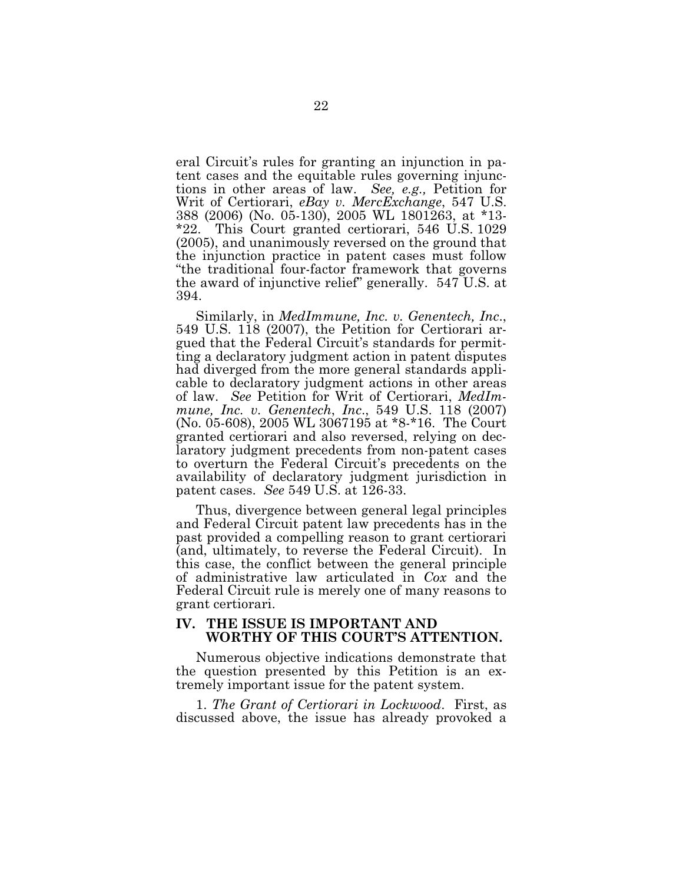eral Circuit's rules for granting an injunction in patent cases and the equitable rules governing injunctions in other areas of law. *See, e.g.,* Petition for Writ of Certiorari, *eBay v. MercExchange*, 547 U.S. 388 (2006) (No. 05-130), 2005 WL 1801263, at \*13- $*22$ . This Court granted certiorari, 546 U.S. 1029 (2005), and unanimously reversed on the ground that the injunction practice in patent cases must follow "the traditional four-factor framework that governs the award of injunctive relief" generally. 547 U.S. at 394.

S imilarly, in *M edImmune, Inc. v. G enentech, Inc*., 549 U.S. 118 (2007), the Petition for Certiorari argued that the Federal Circuit's standards for permitting a declaratory judgment action in patent disputes had diverged from the more general standards applicable to declaratory judgment actions in other areas of law. See Petition for Writ of Certiorari, *MedImmune, Inc. v. Genentech, Inc., 549 U.S. 118 (2007)* (No. 05-608), 2005 WL 3067195 at \*8-\*16. The Court granted certiorari and also reversed, relying on declaratory judgment precedents from non-patent cases to overturn the Federal Circuit's precedents on the availability of declaratory judgment jurisdiction in patent cases. *See* 549 U.S. at 126-33.

Thus, divergence between general legal principles and Federal Circuit patent law precedents has in the past provided a compelling reason to grant certiorari (and, ultimately, to reverse the Federal Circuit). In this case, the conflict between the general principle of administrative law articulated in *Cox* and the Federal Circuit rule is merely one of many reasons to grant certiorari.

#### **IV . TH E ISSUE IS IM PORTANT AND W ORTH Y OF TH IS COURT'S ATTENTION.**

Numerous objective indications demonstrate that the question presented by this Petition is an extremely important issue for the patent system.

1. *The Grant of Certiorari in Lockwood.* First, as discussed above, the issue has already provoked a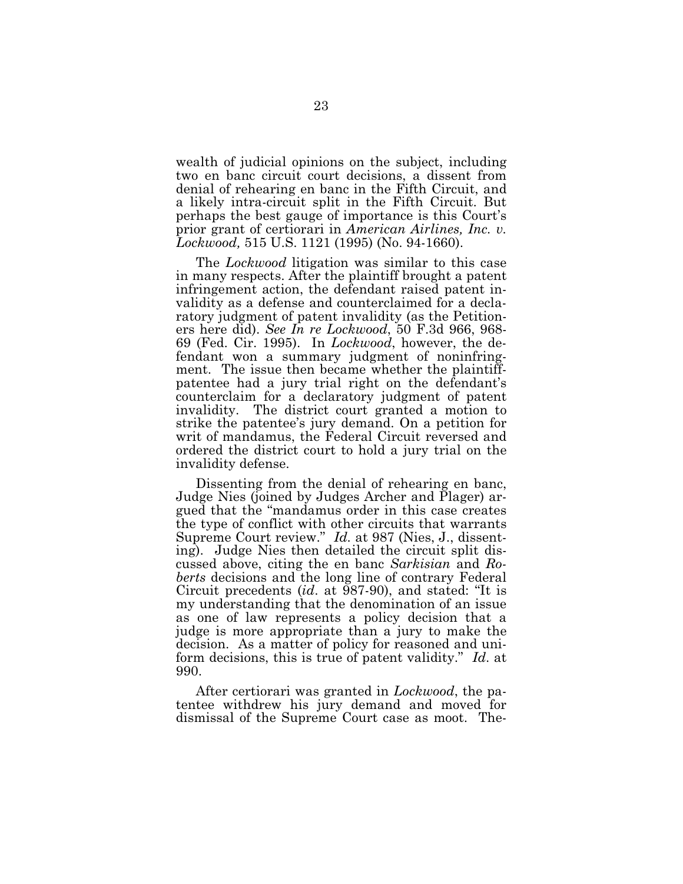wealth of judicial opinions on the subject, including two en banc circuit court decisions, a dissent from denial of rehearing en banc in the Fifth Circuit, and a likely intra-circuit split in the Fifth Circuit. But perhaps the best gauge of importance is this Court's prior grant of certiorari in *American Airlines, Inc. v. Lockwood,* 515 U.S. 1121 (1995) (No. 94-1660).

The *Lockwood* litigation was similar to this case in many respects. After the plaintiff brought a patent infringement action, the defendant raised patent invalidity as a defense and counterclaimed for a declaratory judgment of patent invalidity (as the Petitioners here did). *See In re L ockw ood*, 50 F .3d 966, 968- 69 (Fed. Cir. 1995). In *Lockwood*, however, the defendant won a summary judgment of noninfringment. The issue then became whether the plaintiffpatentee had a jury trial right on the defendant's counterclaim for a declaratory judgment of patent invalidity. The district court granted a motion to strike the patentee's jury demand. On a petition for writ of mandamus, the Federal Circuit reversed and ordered the district court to hold a jury trial on the invalidity defense.

Dissenting from the denial of rehearing en banc, Judge Nies (joined by Judges Archer and Plager) argued that the "mandamus order in this case creates the type of conflict with other circuits that warrants Supreme Court review." *Id.* at 987 (Nies, J., dissenting). Judge Nies then detailed the circuit split discussed above, citing the en banc *Sarkisian* and *Roberts* decisions and the long line of contrary Federal Circuit precedents *(id.* at 987-90), and stated: "It is my understanding that the denomination of an issue as one of law represents a policy decision that a judge is more appropriate than a jury to make the decision. As a matter of policy for reasoned and uniform decisions, this is true of patent validity." *Id*. at 990.

After certiorari was granted in *Lockwood*, the patentee withdrew his jury demand and moved for dismissal of the Supreme Court case as moot. The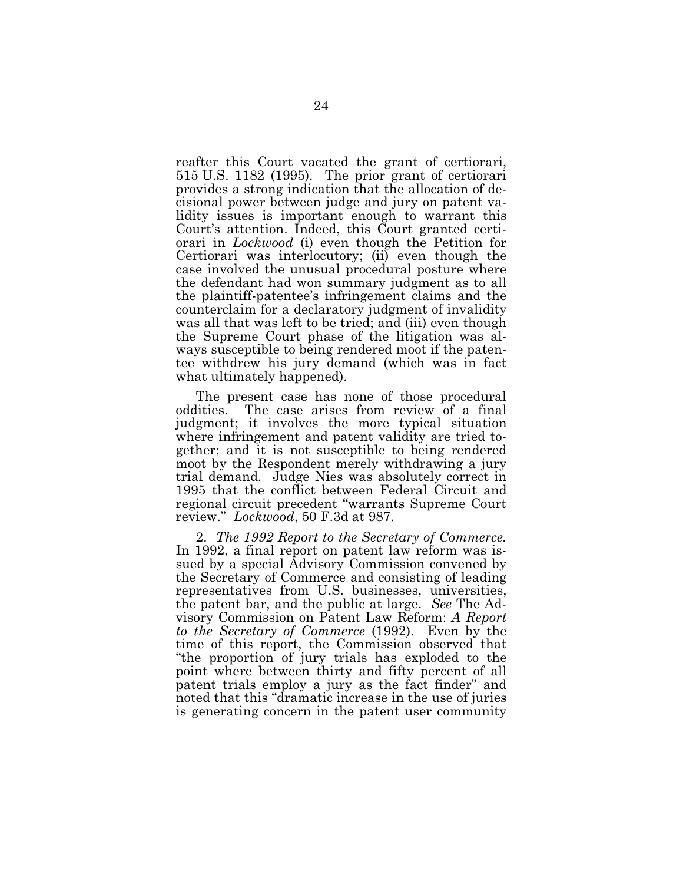reafter this Court vacated the grant of certiorari, 515 U .S . 1182 (1995). The prior grant of certiorari provides a strong indication that the allocation of decisional power between judge and jury on patent validity issues is important enough to warrant this Court's attention. Indeed, this Court granted certiorari in *Lockwood* (i) even though the Petition for Certiorari was interlocutory; (ii) even though the case involved the unusual procedural posture where the defendant had won summary judgment as to all the plaintiff-patentee's infringement claims and the counterclaim for a declaratory judgment of invalidity was all that was left to be tried; and (iii) even though the Supreme Court phase of the litigation was always susceptible to being rendered moot if the patentee withdrew his jury demand (which was in fact what ultimately happened).

The present case has none of those procedural oddities. The case arises from review of a final judgment; it involves the more typical situation where infringement and patent validity are tried together; and it is not susceptible to being rendered moot by the Respondent merely withdrawing a jury trial demand. Judge Nies was absolutely correct in 1995 that the conflict between Federal Circuit and regional circuit precedent "warrants Supreme Court review." *L ockw ood*, 50 F .3d at 987.

2. *The 1992 Report to the Secretary of Commerce.* In 1992, a final report on patent law reform was issued by a special Advisory Commission convened by the Secretary of Commerce and consisting of leading representatives from U.S. businesses, universities, the patent bar, and the public at large. *See* The Advisory Commission on Patent Law Reform: *A Report to the Secretary of Commerce* (1992). Even by the time of this report, the Commission observed that "the proportion of jury trials has exploded to the point where between thirty and fifty percent of all patent trials employ a jury as the fact finder" and noted that this "dramatic increase in the use of juries is generating concern in the patent user community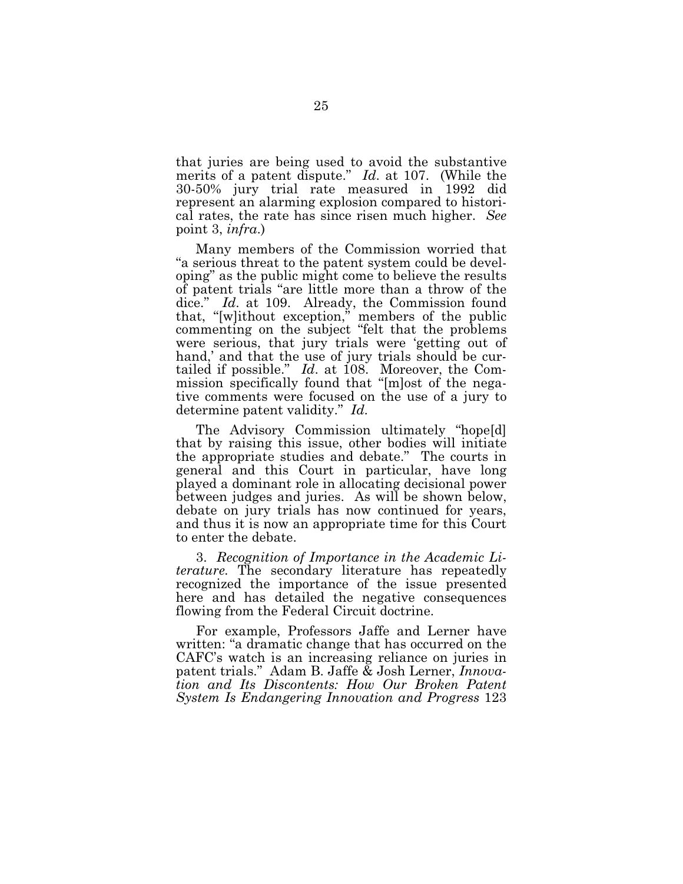that juries are being used to avoid the substantive merits of a patent dispute." *Id.* at 107. (While the 30-50% jury trial rate measured in 1992 did represent an alarming explosion compared to historical rates, the rate has since risen much higher. *See* point 3, *infra*.)

Many members of the Commission worried that "a serious threat to the patent system could be developing" as the public might come to believe the results of patent trials "are little more than a throw of the dice." *Id.* at 109. Already, the Commission found that, "[w]ithout exception," members of the public commenting on the subject "felt that the problems were serious, that jury trials were 'getting out of hand,' and that the use of jury trials should be curtailed if possible." *Id.* at 108. Moreover, the Commission specifically found that "[m]ost of the negative comments were focused on the use of a jury to determine patent validity." *Id*.

The Advisory Commission ultimately "hope[d] that by raising this issue, other bodies will initiate the appropriate studies and debate." The courts in general and this Court in particular, have long played a dominant role in allocating decisional power between judges and juries. As will be shown below, debate on jury trials has now continued for years, and thus it is now an appropriate time for this Court to enter the debate.

3. *Recognition of Importance in the Academic L iterature.* The secondary literature has repeatedly recognized the importance of the issue presented here and has detailed the negative consequences flowing from the Federal Circuit doctrine.

For example, Professors Jaffe and Lerner have written:"a dramatic change that has occurred on the CAFC's watch is an increasing reliance on juries in patent trials." Adam B. Jaffe & Josh Lerner, *Innovation and Its Discontents: H ow O ur B roken P atent System Is E ndangering Innovation and P rogress* 123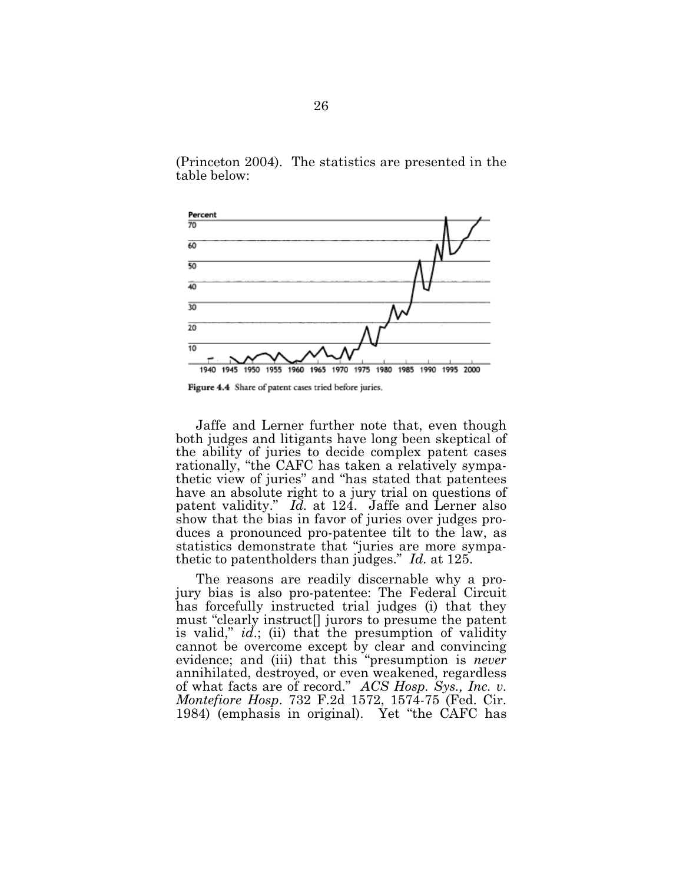(Princeton 2004). The statistics are presented in the table below:



Figure 4.4 Share of patent cases tried before juries.

Jaffe and Lerner further note that, even though both judges and litigants have long been skeptical of the ability of juries to decide complex patent cases rationally, "the CAFC has taken a relatively sympathetic view of juries" and "has stated that patentees have an absolute right to a jury trial on questions of patent validity." *Id.* at 124. Jaffe and Lerner also show that the bias in favor of juries over judges produces a pronounced pro-patentee tilt to the law, as statistics demonstrate that "juries are more sympathetic to patentholders than judges." *Id.* at 125.

The reasons are readily discernable why a projury bias is also pro-patentee: The Federal Circuit has forcefully instructed trial judges (i) that they must "clearly instruct[] jurors to presume the patent is valid," *id*.; (ii) that the presumption of validity cannot be overcome except by clear and convincing evidence; and (iii) that this "presumption is *never* annihilated, destroyed, or even weakened, regardless of what facts are of record." *ACS H osp. Sys., Inc. v. Montefiore Hosp.* 732 F.2d 1572, 1574-75 (Fed. Cir. 1984) (emphasis in original). Yet "the CAFC has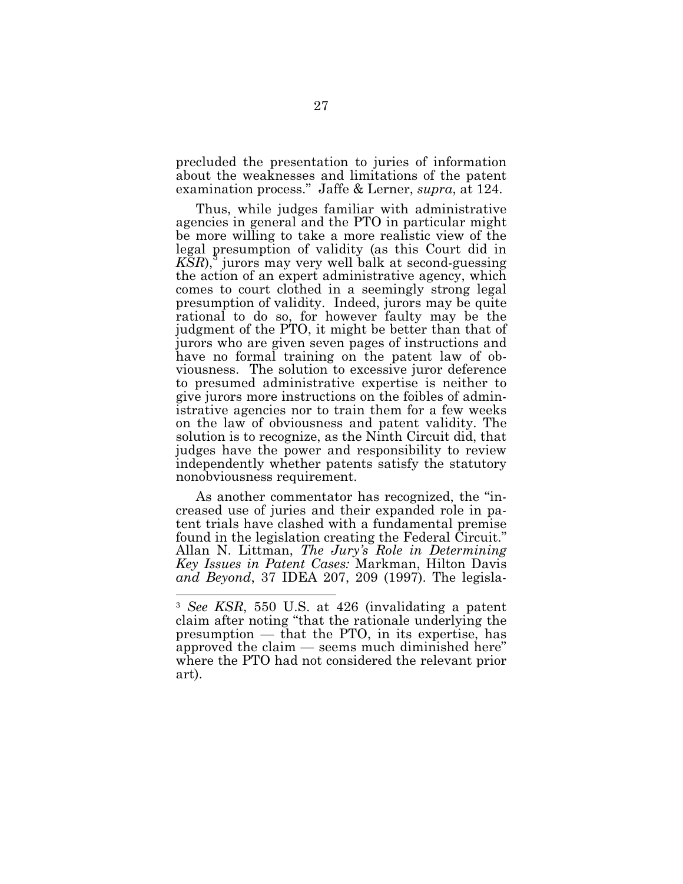precluded the presentation to juries of information about the weaknesses and limitations of the patent examination process." Jaffe & Lerner, *supra*, at 124.

Thus, while judges familiar with administrative agencies in general and the PTO in particular might be more willing to take a more realistic view of the legal presumption of validity (as this Court did in *KSR*), 3 jurors may very well balk at second-guessing the action of an expert administrative agency, which comes to court clothed in a seemingly strong legal presumption of validity. Indeed, jurors may be quite rational to do so, for however faulty may be the judgment of the PTO, it might be better than that of jurors who are given seven pages of instructions and have no formal training on the patent law of obviousness. The solution to excessive juror deference to presumed administrative expertise is neither to give jurors more instructions on the foibles of administrative agencies nor to train them for a few weeks on the law of obviousness and patent validity. The solution is to recognize, as the Ninth Circuit did, that judges have the power and responsibility to review independently whether patents satisfy the statutory nonobviousness requirement.

As another commentator has recognized, the "increased use of juries and their expanded role in patent trials have clashed with a fundamental premise found in the legislation creating the Federal Circuit." Allan N. Littman, *The Jury's Role in Determining Key Issues in Patent Cases: Markman, Hilton Davis and Beyond*, 37 IDEA 207, 209 (1997). The legisla-

<sup>&</sup>lt;sup>3</sup> *See KSR*, 550 U.S. at 426 (invalidating a patent claim after noting "that the rationale underlying the presumption  $-$  that the PTO, in its expertise, has approved the claim — seems much diminished here" where the PTO had not considered the relevant prior art).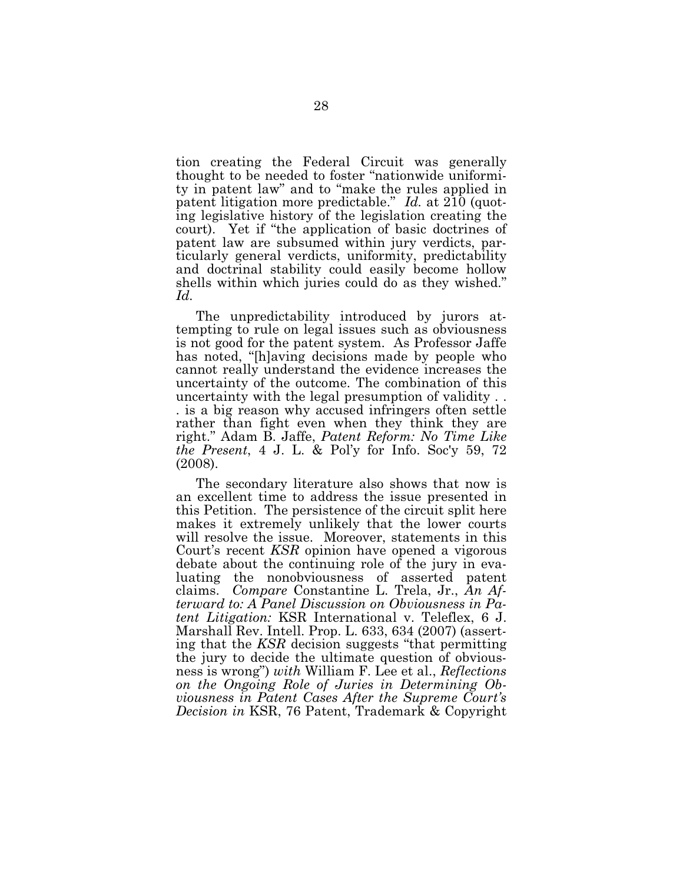tion creating the Federal Circuit was generally thought to be needed to foster "nationwide uniformity in patent law" and to "make the rules applied in patent litigation more predictable." Id. at  $2\overline{10}$  (quoting legislative history of the legislation creating the court). Yet if "the application of basic doctrines of patent law are subsumed within jury verdicts, particularly general verdicts, uniformity, predictability and doctrinal stability could easily become hollow shells within which juries could do as they wished."  $Id.$ 

The unpredictability introduced by jurors attempting to rule on legal issues such as obviousness is not good for the patent system. As Professor Jaffe has noted, "[h] aving decisions made by people who cannot really understand the evidence increases the uncertainty of the outcome. The combination of this uncertainty with the legal presumption of validity... is a big reason why accused infringers often settle rather than fight even when they think they are right." Adam B. Jaffe, Patent Reform: No Time Like *the Present*, 4 J. L. & Pol'y for Info. Soc'y 59, 72  $(2008).$ 

The secondary literature also shows that now is an excellent time to address the issue presented in this Petition. The persistence of the circuit split here makes it extremely unlikely that the lower courts will resolve the issue. Moreover, statements in this Court's recent KSR opinion have opened a vigorous debate about the continuing role of the jury in evaluating the nonobviousness of asserted patent claims. Compare Constantine L. Trela, Jr., An Afterward to: A Panel Discussion on Obviousness in Patent Litigation: KSR International v. Teleflex, 6 J. Marshall Rev. Intell. Prop. L. 633, 634 (2007) (asserting that the KSR decision suggests "that permitting" the jury to decide the ultimate question of obviousness is wrong") with William F. Lee et al., Reflections on the Ongoing Role of Juries in Determining Obviousness in Patent Cases After the Supreme Court's Decision in KSR, 76 Patent, Trademark & Copyright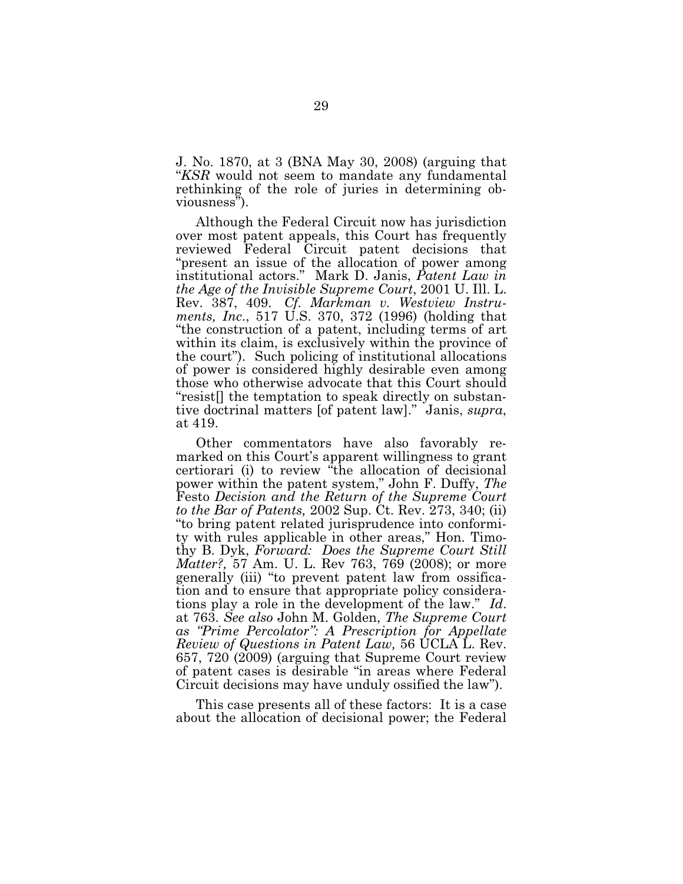J. No. 1870, at 3 (BNA May 30, 2008) (arguing that "*KSR* would not seem to mandate any fundamental rethinking of the role of juries in determining obviousness").

Although the Federal Circuit now has jurisdiction over most patent appeals, this Court has frequently reviewed Federal Circuit patent decisions that "present an issue of the allocation of power among institutional actors." Mark D. Janis, *Patent Law in the Age of the Invisible Supreme Court, 2001 U. Ill. L.* Rev. 387, 409. *Cf. Markman v. Westview Instruments, Inc.*, 517 U.S. 370, 372 (1996) (holding that "the construction of a patent, including terms of art within its claim, is exclusively within the province of the court"). Such policing of institutional allocations of power is considered highly desirable even among those who otherwise advocate that this Court should "resist[] the temptation to speak directly on substantive doctrinal matters [of patent law]." Janis, *supra*, at 419.

Other commentators have also favorably remarked on this Court's apparent willingness to grant certiorari (i) to review "the allocation of decisional power within the patent system," John F. Duffy, *The* F esto *Decision and the Return of the Supreme Court to the Bar of Patents,* 2002 Sup. Ct. Rev. 273, 340; (ii) "to bring patent related jurisprudence into conformity with rules applicable in other areas," Hon. Timothy B. Dyk, *Forward: Does the Supreme Court Still Matter?*, 57 Am. U. L. Rev 763, 769 (2008); or more generally (iii) "to prevent patent law from ossification and to ensure that appropriate policy considerations play a role in the development of the law." *Id*. at 763. *See also* John M . G olden, *The Supreme Court as "P rime P ercolator": A P rescription for Appellate Review of Q uestions in P atent L aw ,* 56 U C L A L . R ev. 657, 720 (2009) (arguing that Supreme Court review of patent cases is desirable "in areas where F ederal Circuit decisions may have unduly ossified the law".

This case presents all of these factors: It is a case about the allocation of decisional power; the Federal